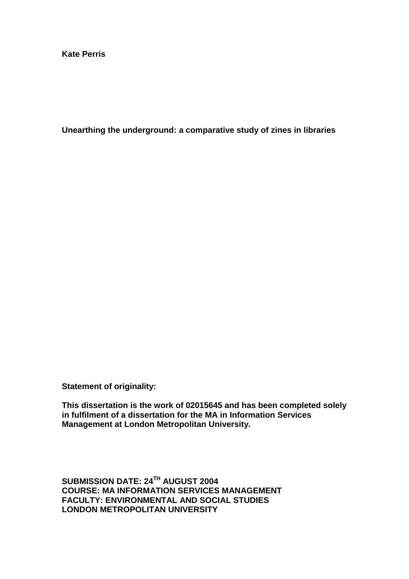**Kate Perris** 

**Unearthing the underground: a comparative study of zines in libraries** 

**Statement of originality:** 

**This dissertation is the work of 02015645 and has been completed solely in fulfilment of a dissertation for the MA in Information Services Management at London Metropolitan University.** 

**SUBMISSION DATE: 24TH AUGUST 2004 COURSE: MA INFORMATION SERVICES MANAGEMENT FACULTY: ENVIRONMENTAL AND SOCIAL STUDIES LONDON METROPOLITAN UNIVERSITY**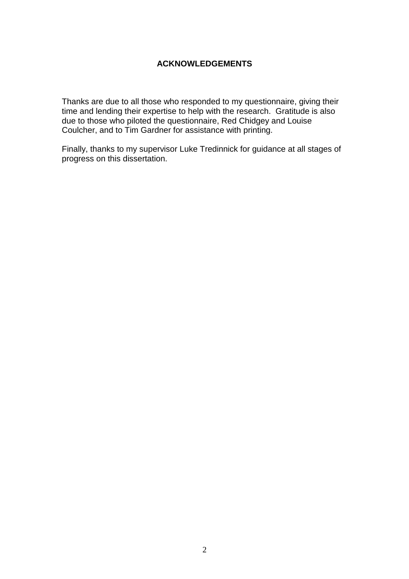# **ACKNOWLEDGEMENTS**

Thanks are due to all those who responded to my questionnaire, giving their time and lending their expertise to help with the research. Gratitude is also due to those who piloted the questionnaire, Red Chidgey and Louise Coulcher, and to Tim Gardner for assistance with printing.

Finally, thanks to my supervisor Luke Tredinnick for guidance at all stages of progress on this dissertation.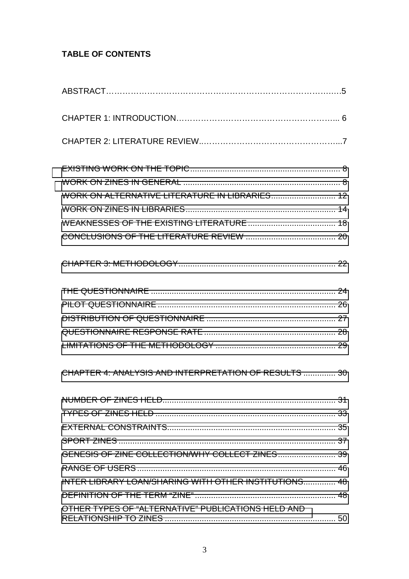# **TABLE OF CONTENTS**

| WORK ON ALTERNATIVE LITERATURE IN LIBRARIES 12        |  |
|-------------------------------------------------------|--|
|                                                       |  |
|                                                       |  |
|                                                       |  |
|                                                       |  |
|                                                       |  |
|                                                       |  |
|                                                       |  |
|                                                       |  |
|                                                       |  |
| CHAPTER 4: ANALYSIS AND INTERPRETATION OF RESULTS  30 |  |
|                                                       |  |
|                                                       |  |
|                                                       |  |
|                                                       |  |
| GENESIS OF ZINE COLLECTION/WHY COLLECT ZINES 39       |  |
|                                                       |  |
| INTER LIBRARY LOAN/SHARING WITH OTHER INSTITUTIONS 48 |  |
|                                                       |  |
| OTHER TYPES OF "ALTERNATIVE" PUBLICATIONS HELD AND    |  |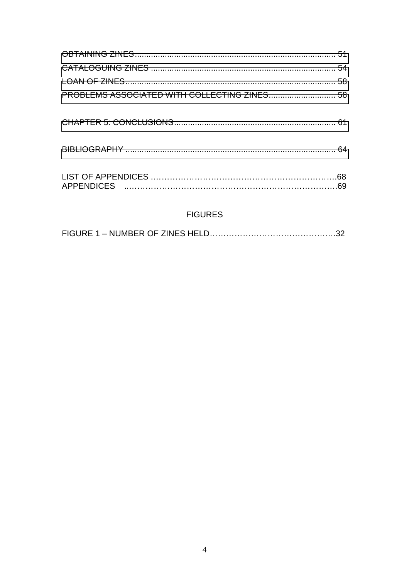# **FIGURES**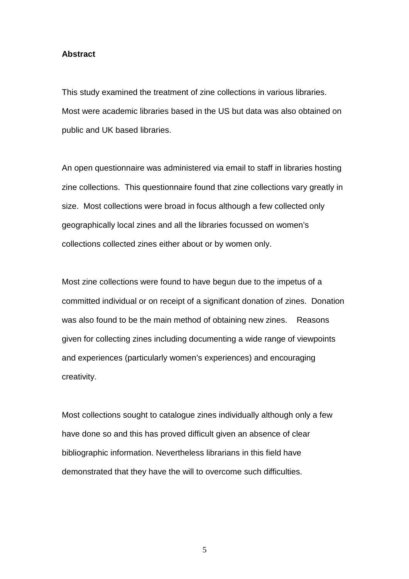### **Abstract**

This study examined the treatment of zine collections in various libraries. Most were academic libraries based in the US but data was also obtained on public and UK based libraries.

An open questionnaire was administered via email to staff in libraries hosting zine collections. This questionnaire found that zine collections vary greatly in size. Most collections were broad in focus although a few collected only geographically local zines and all the libraries focussed on women's collections collected zines either about or by women only.

Most zine collections were found to have begun due to the impetus of a committed individual or on receipt of a significant donation of zines. Donation was also found to be the main method of obtaining new zines. Reasons given for collecting zines including documenting a wide range of viewpoints and experiences (particularly women's experiences) and encouraging creativity.

Most collections sought to catalogue zines individually although only a few have done so and this has proved difficult given an absence of clear bibliographic information. Nevertheless librarians in this field have demonstrated that they have the will to overcome such difficulties.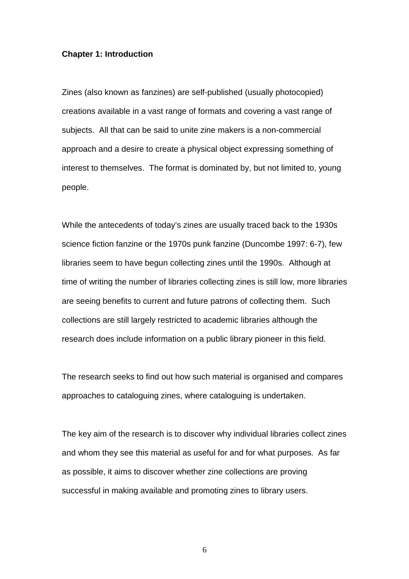### **Chapter 1: Introduction**

Zines (also known as fanzines) are self-published (usually photocopied) creations available in a vast range of formats and covering a vast range of subjects. All that can be said to unite zine makers is a non-commercial approach and a desire to create a physical object expressing something of interest to themselves. The format is dominated by, but not limited to, young people.

While the antecedents of today's zines are usually traced back to the 1930s science fiction fanzine or the 1970s punk fanzine (Duncombe 1997: 6-7), few libraries seem to have begun collecting zines until the 1990s. Although at time of writing the number of libraries collecting zines is still low, more libraries are seeing benefits to current and future patrons of collecting them. Such collections are still largely restricted to academic libraries although the research does include information on a public library pioneer in this field.

The research seeks to find out how such material is organised and compares approaches to cataloguing zines, where cataloguing is undertaken.

The key aim of the research is to discover why individual libraries collect zines and whom they see this material as useful for and for what purposes. As far as possible, it aims to discover whether zine collections are proving successful in making available and promoting zines to library users.

 $\sim$  6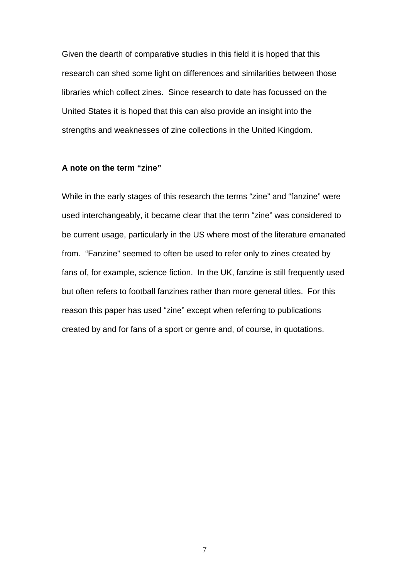Given the dearth of comparative studies in this field it is hoped that this research can shed some light on differences and similarities between those libraries which collect zines. Since research to date has focussed on the United States it is hoped that this can also provide an insight into the strengths and weaknesses of zine collections in the United Kingdom.

### **A note on the term "zine"**

While in the early stages of this research the terms "zine" and "fanzine" were used interchangeably, it became clear that the term "zine" was considered to be current usage, particularly in the US where most of the literature emanated from. "Fanzine" seemed to often be used to refer only to zines created by fans of, for example, science fiction. In the UK, fanzine is still frequently used but often refers to football fanzines rather than more general titles. For this reason this paper has used "zine" except when referring to publications created by and for fans of a sport or genre and, of course, in quotations.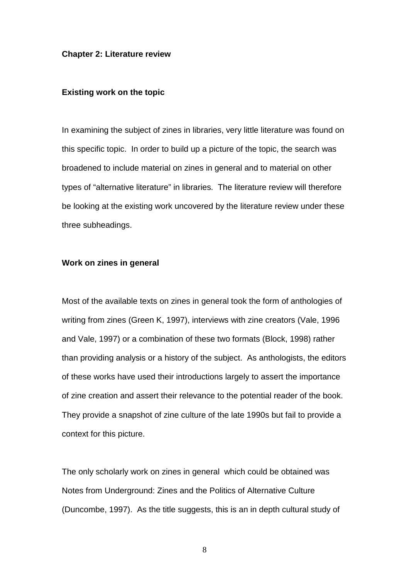#### <span id="page-7-0"></span>**Chapter 2: Literature review**

### **Existing work on the topic**

In examining the subject of zines in libraries, very little literature was found on this specific topic. In order to build up a picture of the topic, the search was broadened to include material on zines in general and to material on other types of "alternative literature" in libraries. The literature review will therefore be looking at the existing work uncovered by the literature review under these three subheadings.

### **Work on zines in general**

Most of the available texts on zines in general took the form of anthologies of writing from zines (Green K, 1997), interviews with zine creators (Vale, 1996 and Vale, 1997) or a combination of these two formats (Block, 1998) rather than providing analysis or a history of the subject. As anthologists, the editors of these works have used their introductions largely to assert the importance of zine creation and assert their relevance to the potential reader of the book. They provide a snapshot of zine culture of the late 1990s but fail to provide a context for this picture.

The only scholarly work on zines in general which could be obtained was Notes from Underground: Zines and the Politics of Alternative Culture (Duncombe, 1997). As the title suggests, this is an in depth cultural study of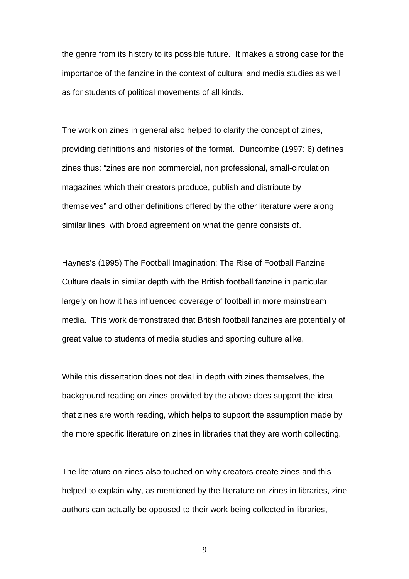the genre from its history to its possible future. It makes a strong case for the importance of the fanzine in the context of cultural and media studies as well as for students of political movements of all kinds.

The work on zines in general also helped to clarify the concept of zines, providing definitions and histories of the format. Duncombe (1997: 6) defines zines thus: "zines are non commercial, non professional, small-circulation magazines which their creators produce, publish and distribute by themselves" and other definitions offered by the other literature were along similar lines, with broad agreement on what the genre consists of.

Haynes's (1995) The Football Imagination: The Rise of Football Fanzine Culture deals in similar depth with the British football fanzine in particular, largely on how it has influenced coverage of football in more mainstream media. This work demonstrated that British football fanzines are potentially of great value to students of media studies and sporting culture alike.

While this dissertation does not deal in depth with zines themselves, the background reading on zines provided by the above does support the idea that zines are worth reading, which helps to support the assumption made by the more specific literature on zines in libraries that they are worth collecting.

The literature on zines also touched on why creators create zines and this helped to explain why, as mentioned by the literature on zines in libraries, zine authors can actually be opposed to their work being collected in libraries,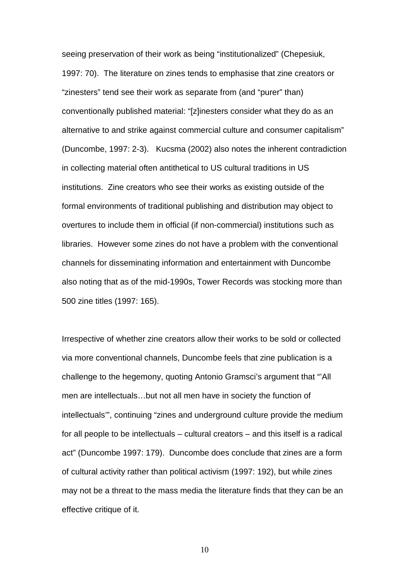seeing preservation of their work as being "institutionalized" (Chepesiuk, 1997: 70). The literature on zines tends to emphasise that zine creators or "zinesters" tend see their work as separate from (and "purer" than) conventionally published material: "[z]inesters consider what they do as an alternative to and strike against commercial culture and consumer capitalism" (Duncombe, 1997: 2-3). Kucsma (2002) also notes the inherent contradiction in collecting material often antithetical to US cultural traditions in US institutions. Zine creators who see their works as existing outside of the formal environments of traditional publishing and distribution may object to overtures to include them in official (if non-commercial) institutions such as libraries. However some zines do not have a problem with the conventional channels for disseminating information and entertainment with Duncombe also noting that as of the mid-1990s, Tower Records was stocking more than 500 zine titles (1997: 165).

Irrespective of whether zine creators allow their works to be sold or collected via more conventional channels, Duncombe feels that zine publication is a challenge to the hegemony, quoting Antonio Gramsci's argument that "'All men are intellectuals…but not all men have in society the function of intellectuals'", continuing "zines and underground culture provide the medium for all people to be intellectuals – cultural creators – and this itself is a radical act" (Duncombe 1997: 179). Duncombe does conclude that zines are a form of cultural activity rather than political activism (1997: 192), but while zines may not be a threat to the mass media the literature finds that they can be an effective critique of it.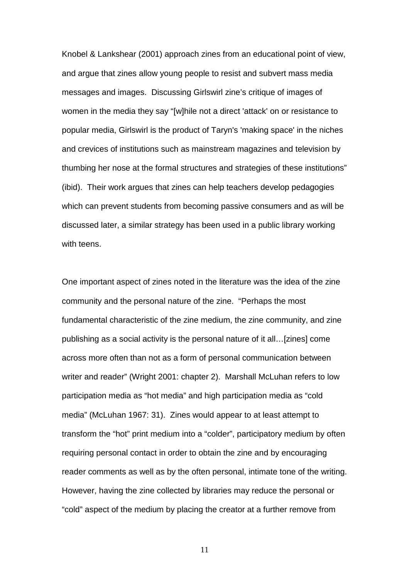Knobel & Lankshear (2001) approach zines from an educational point of view, and argue that zines allow young people to resist and subvert mass media messages and images. Discussing Girlswirl zine's critique of images of women in the media they say "[w]hile not a direct 'attack' on or resistance to popular media, Girlswirl is the product of Taryn's 'making space' in the niches and crevices of institutions such as mainstream magazines and television by thumbing her nose at the formal structures and strategies of these institutions" (ibid). Their work argues that zines can help teachers develop pedagogies which can prevent students from becoming passive consumers and as will be discussed later, a similar strategy has been used in a public library working with teens.

One important aspect of zines noted in the literature was the idea of the zine community and the personal nature of the zine. "Perhaps the most fundamental characteristic of the zine medium, the zine community, and zine publishing as a social activity is the personal nature of it all…[zines] come across more often than not as a form of personal communication between writer and reader" (Wright 2001: chapter 2). Marshall McLuhan refers to low participation media as "hot media" and high participation media as "cold media" (McLuhan 1967: 31). Zines would appear to at least attempt to transform the "hot" print medium into a "colder", participatory medium by often requiring personal contact in order to obtain the zine and by encouraging reader comments as well as by the often personal, intimate tone of the writing. However, having the zine collected by libraries may reduce the personal or "cold" aspect of the medium by placing the creator at a further remove from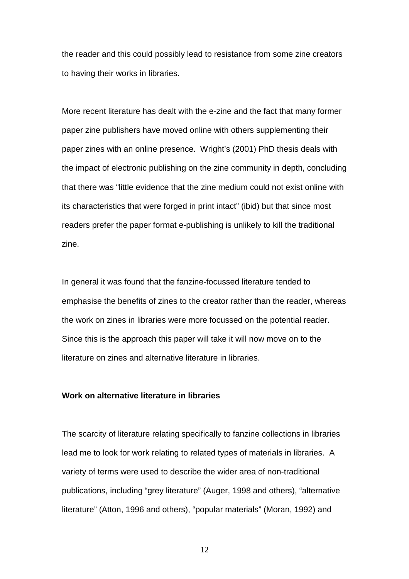<span id="page-11-0"></span>the reader and this could possibly lead to resistance from some zine creators to having their works in libraries.

More recent literature has dealt with the e-zine and the fact that many former paper zine publishers have moved online with others supplementing their paper zines with an online presence. Wright's (2001) PhD thesis deals with the impact of electronic publishing on the zine community in depth, concluding that there was "little evidence that the zine medium could not exist online with its characteristics that were forged in print intact" (ibid) but that since most readers prefer the paper format e-publishing is unlikely to kill the traditional zine.

In general it was found that the fanzine-focussed literature tended to emphasise the benefits of zines to the creator rather than the reader, whereas the work on zines in libraries were more focussed on the potential reader. Since this is the approach this paper will take it will now move on to the literature on zines and alternative literature in libraries.

### **Work on alternative literature in libraries**

The scarcity of literature relating specifically to fanzine collections in libraries lead me to look for work relating to related types of materials in libraries. A variety of terms were used to describe the wider area of non-traditional publications, including "grey literature" (Auger, 1998 and others), "alternative literature" (Atton, 1996 and others), "popular materials" (Moran, 1992) and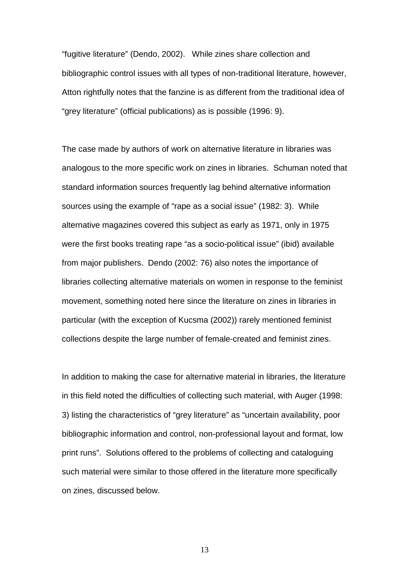"fugitive literature" (Dendo, 2002). While zines share collection and bibliographic control issues with all types of non-traditional literature, however, Atton rightfully notes that the fanzine is as different from the traditional idea of "grey literature" (official publications) as is possible (1996: 9).

The case made by authors of work on alternative literature in libraries was analogous to the more specific work on zines in libraries. Schuman noted that standard information sources frequently lag behind alternative information sources using the example of "rape as a social issue" (1982: 3). While alternative magazines covered this subject as early as 1971, only in 1975 were the first books treating rape "as a socio-political issue" (ibid) available from major publishers. Dendo (2002: 76) also notes the importance of libraries collecting alternative materials on women in response to the feminist movement, something noted here since the literature on zines in libraries in particular (with the exception of Kucsma (2002)) rarely mentioned feminist collections despite the large number of female-created and feminist zines.

In addition to making the case for alternative material in libraries, the literature in this field noted the difficulties of collecting such material, with Auger (1998: 3) listing the characteristics of "grey literature" as "uncertain availability, poor bibliographic information and control, non-professional layout and format, low print runs". Solutions offered to the problems of collecting and cataloguing such material were similar to those offered in the literature more specifically on zines, discussed below.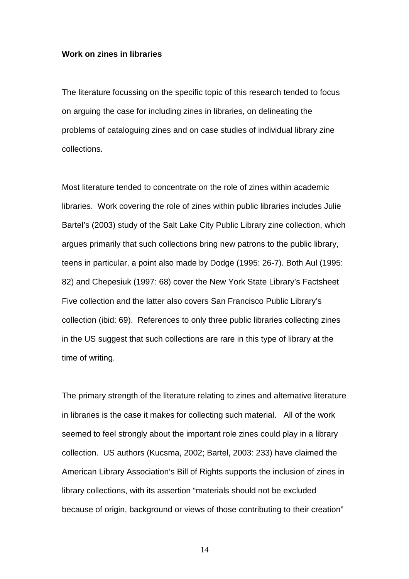### <span id="page-13-0"></span>**Work on zines in libraries**

The literature focussing on the specific topic of this research tended to focus on arguing the case for including zines in libraries, on delineating the problems of cataloguing zines and on case studies of individual library zine collections.

Most literature tended to concentrate on the role of zines within academic libraries. Work covering the role of zines within public libraries includes Julie Bartel's (2003) study of the Salt Lake City Public Library zine collection, which argues primarily that such collections bring new patrons to the public library, teens in particular, a point also made by Dodge (1995: 26-7). Both Aul (1995: 82) and Chepesiuk (1997: 68) cover the New York State Library's Factsheet Five collection and the latter also covers San Francisco Public Library's collection (ibid: 69). References to only three public libraries collecting zines in the US suggest that such collections are rare in this type of library at the time of writing.

The primary strength of the literature relating to zines and alternative literature in libraries is the case it makes for collecting such material. All of the work seemed to feel strongly about the important role zines could play in a library collection. US authors (Kucsma, 2002; Bartel, 2003: 233) have claimed the American Library Association's Bill of Rights supports the inclusion of zines in library collections, with its assertion "materials should not be excluded because of origin, background or views of those contributing to their creation"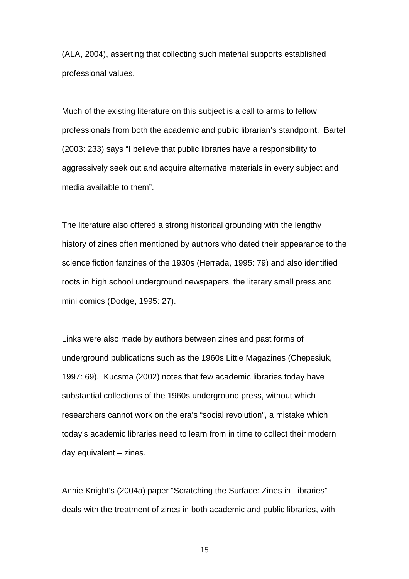(ALA, 2004), asserting that collecting such material supports established professional values.

Much of the existing literature on this subject is a call to arms to fellow professionals from both the academic and public librarian's standpoint. Bartel (2003: 233) says "I believe that public libraries have a responsibility to aggressively seek out and acquire alternative materials in every subject and media available to them".

The literature also offered a strong historical grounding with the lengthy history of zines often mentioned by authors who dated their appearance to the science fiction fanzines of the 1930s (Herrada, 1995: 79) and also identified roots in high school underground newspapers, the literary small press and mini comics (Dodge, 1995: 27).

Links were also made by authors between zines and past forms of underground publications such as the 1960s Little Magazines (Chepesiuk, 1997: 69). Kucsma (2002) notes that few academic libraries today have substantial collections of the 1960s underground press, without which researchers cannot work on the era's "social revolution", a mistake which today's academic libraries need to learn from in time to collect their modern day equivalent – zines.

Annie Knight's (2004a) paper "Scratching the Surface: Zines in Libraries" deals with the treatment of zines in both academic and public libraries, with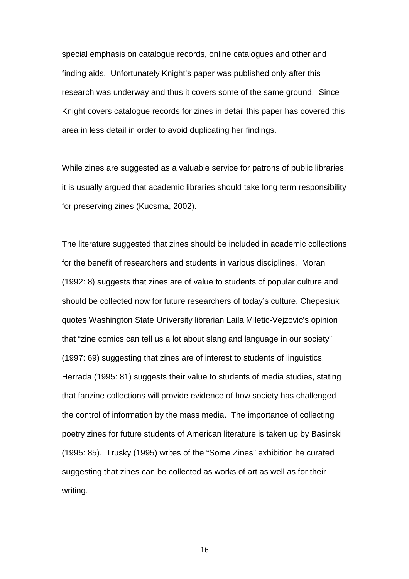special emphasis on catalogue records, online catalogues and other and finding aids. Unfortunately Knight's paper was published only after this research was underway and thus it covers some of the same ground. Since Knight covers catalogue records for zines in detail this paper has covered this area in less detail in order to avoid duplicating her findings.

While zines are suggested as a valuable service for patrons of public libraries, it is usually argued that academic libraries should take long term responsibility for preserving zines (Kucsma, 2002).

The literature suggested that zines should be included in academic collections for the benefit of researchers and students in various disciplines. Moran (1992: 8) suggests that zines are of value to students of popular culture and should be collected now for future researchers of today's culture. Chepesiuk quotes Washington State University librarian Laila Miletic-Vejzovic's opinion that "zine comics can tell us a lot about slang and language in our society" (1997: 69) suggesting that zines are of interest to students of linguistics. Herrada (1995: 81) suggests their value to students of media studies, stating that fanzine collections will provide evidence of how society has challenged the control of information by the mass media. The importance of collecting poetry zines for future students of American literature is taken up by Basinski (1995: 85). Trusky (1995) writes of the "Some Zines" exhibition he curated suggesting that zines can be collected as works of art as well as for their writing.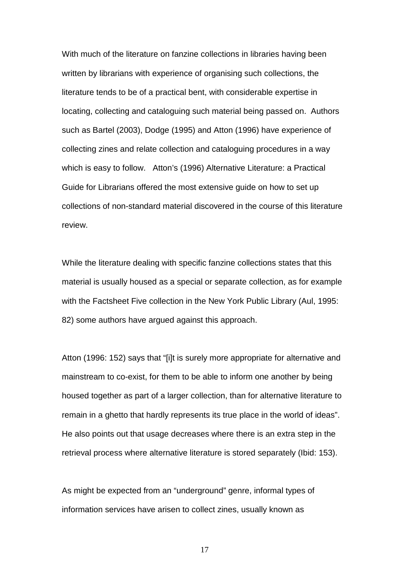With much of the literature on fanzine collections in libraries having been written by librarians with experience of organising such collections, the literature tends to be of a practical bent, with considerable expertise in locating, collecting and cataloguing such material being passed on. Authors such as Bartel (2003), Dodge (1995) and Atton (1996) have experience of collecting zines and relate collection and cataloguing procedures in a way which is easy to follow. Atton's (1996) Alternative Literature: a Practical Guide for Librarians offered the most extensive guide on how to set up collections of non-standard material discovered in the course of this literature review.

While the literature dealing with specific fanzine collections states that this material is usually housed as a special or separate collection, as for example with the Factsheet Five collection in the New York Public Library (Aul, 1995: 82) some authors have argued against this approach.

Atton (1996: 152) says that "[i]t is surely more appropriate for alternative and mainstream to co-exist, for them to be able to inform one another by being housed together as part of a larger collection, than for alternative literature to remain in a ghetto that hardly represents its true place in the world of ideas". He also points out that usage decreases where there is an extra step in the retrieval process where alternative literature is stored separately (Ibid: 153).

As might be expected from an "underground" genre, informal types of information services have arisen to collect zines, usually known as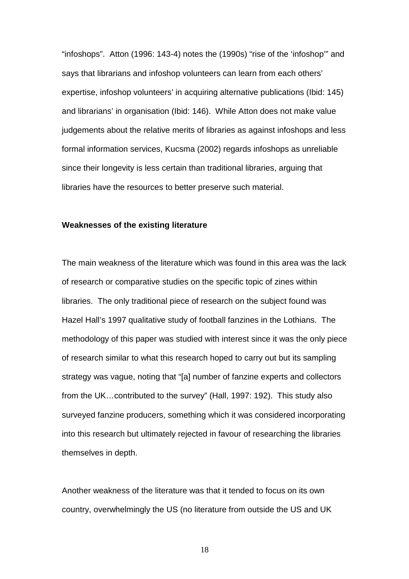<span id="page-17-0"></span>"infoshops". Atton (1996: 143-4) notes the (1990s) "rise of the 'infoshop'" and says that librarians and infoshop volunteers can learn from each others' expertise, infoshop volunteers' in acquiring alternative publications (Ibid: 145) and librarians' in organisation (Ibid: 146). While Atton does not make value judgements about the relative merits of libraries as against infoshops and less formal information services, Kucsma (2002) regards infoshops as unreliable since their longevity is less certain than traditional libraries, arguing that libraries have the resources to better preserve such material.

### **Weaknesses of the existing literature**

The main weakness of the literature which was found in this area was the lack of research or comparative studies on the specific topic of zines within libraries. The only traditional piece of research on the subject found was Hazel Hall's 1997 qualitative study of football fanzines in the Lothians. The methodology of this paper was studied with interest since it was the only piece of research similar to what this research hoped to carry out but its sampling strategy was vague, noting that "[a] number of fanzine experts and collectors from the UK…contributed to the survey" (Hall, 1997: 192). This study also surveyed fanzine producers, something which it was considered incorporating into this research but ultimately rejected in favour of researching the libraries themselves in depth.

Another weakness of the literature was that it tended to focus on its own country, overwhelmingly the US (no literature from outside the US and UK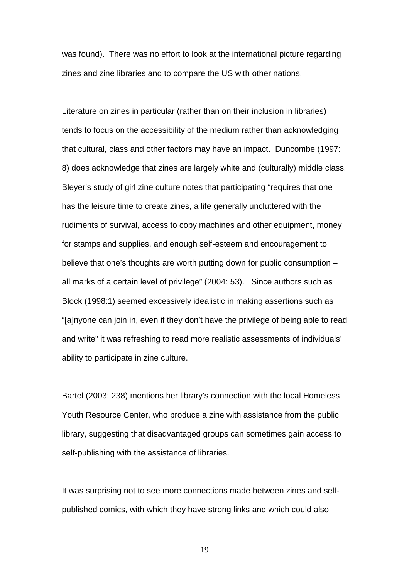was found). There was no effort to look at the international picture regarding zines and zine libraries and to compare the US with other nations.

Literature on zines in particular (rather than on their inclusion in libraries) tends to focus on the accessibility of the medium rather than acknowledging that cultural, class and other factors may have an impact. Duncombe (1997: 8) does acknowledge that zines are largely white and (culturally) middle class. Bleyer's study of girl zine culture notes that participating "requires that one has the leisure time to create zines, a life generally uncluttered with the rudiments of survival, access to copy machines and other equipment, money for stamps and supplies, and enough self-esteem and encouragement to believe that one's thoughts are worth putting down for public consumption – all marks of a certain level of privilege" (2004: 53). Since authors such as Block (1998:1) seemed excessively idealistic in making assertions such as "[a]nyone can join in, even if they don't have the privilege of being able to read and write" it was refreshing to read more realistic assessments of individuals' ability to participate in zine culture.

Bartel (2003: 238) mentions her library's connection with the local Homeless Youth Resource Center, who produce a zine with assistance from the public library, suggesting that disadvantaged groups can sometimes gain access to self-publishing with the assistance of libraries.

It was surprising not to see more connections made between zines and selfpublished comics, with which they have strong links and which could also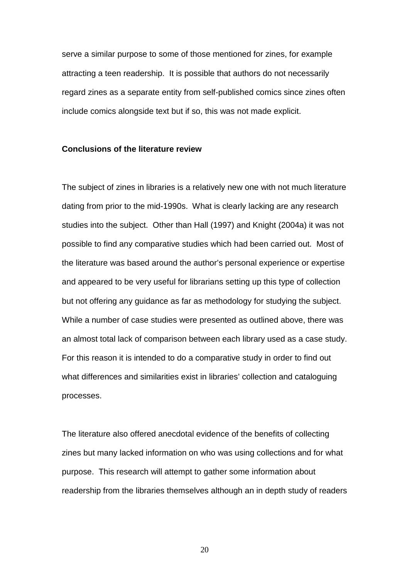<span id="page-19-0"></span>serve a similar purpose to some of those mentioned for zines, for example attracting a teen readership. It is possible that authors do not necessarily regard zines as a separate entity from self-published comics since zines often include comics alongside text but if so, this was not made explicit.

### **Conclusions of the literature review**

The subject of zines in libraries is a relatively new one with not much literature dating from prior to the mid-1990s. What is clearly lacking are any research studies into the subject. Other than Hall (1997) and Knight (2004a) it was not possible to find any comparative studies which had been carried out. Most of the literature was based around the author's personal experience or expertise and appeared to be very useful for librarians setting up this type of collection but not offering any guidance as far as methodology for studying the subject. While a number of case studies were presented as outlined above, there was an almost total lack of comparison between each library used as a case study. For this reason it is intended to do a comparative study in order to find out what differences and similarities exist in libraries' collection and cataloguing processes.

The literature also offered anecdotal evidence of the benefits of collecting zines but many lacked information on who was using collections and for what purpose. This research will attempt to gather some information about readership from the libraries themselves although an in depth study of readers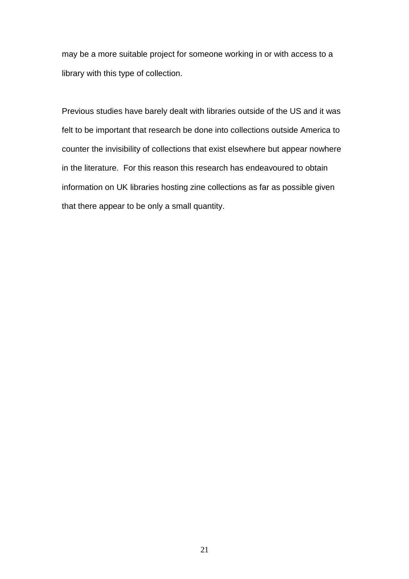may be a more suitable project for someone working in or with access to a library with this type of collection.

Previous studies have barely dealt with libraries outside of the US and it was felt to be important that research be done into collections outside America to counter the invisibility of collections that exist elsewhere but appear nowhere in the literature. For this reason this research has endeavoured to obtain information on UK libraries hosting zine collections as far as possible given that there appear to be only a small quantity.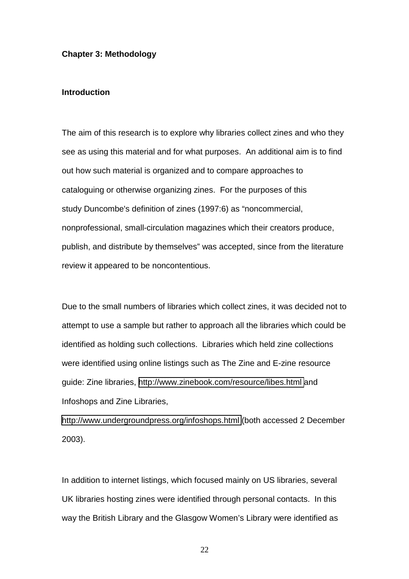### <span id="page-21-0"></span>**Chapter 3: Methodology**

# **Introduction**

The aim of this research is to explore why libraries collect zines and who they see as using this material and for what purposes. An additional aim is to find out how such material is organized and to compare approaches to cataloguing or otherwise organizing zines. For the purposes of this study Duncombe's definition of zines (1997:6) as "noncommercial, nonprofessional, small-circulation magazines which their creators produce, publish, and distribute by themselves" was accepted, since from the literature review it appeared to be noncontentious.

Due to the small numbers of libraries which collect zines, it was decided not to attempt to use a sample but rather to approach all the libraries which could be identified as holding such collections. Libraries which held zine collections were identified using online listings such as The Zine and E-zine resource guide: Zine libraries, <http://www.zinebook.com/resource/libes.html>and Infoshops and Zine Libraries,

<http://www.undergroundpress.org/infoshops.html>(both accessed 2 December 2003).

In addition to internet listings, which focused mainly on US libraries, several UK libraries hosting zines were identified through personal contacts. In this way the British Library and the Glasgow Women's Library were identified as

<u>22</u>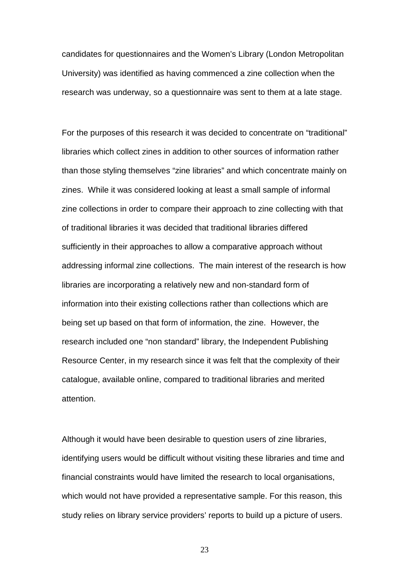candidates for questionnaires and the Women's Library (London Metropolitan University) was identified as having commenced a zine collection when the research was underway, so a questionnaire was sent to them at a late stage.

For the purposes of this research it was decided to concentrate on "traditional" libraries which collect zines in addition to other sources of information rather than those styling themselves "zine libraries" and which concentrate mainly on zines. While it was considered looking at least a small sample of informal zine collections in order to compare their approach to zine collecting with that of traditional libraries it was decided that traditional libraries differed sufficiently in their approaches to allow a comparative approach without addressing informal zine collections. The main interest of the research is how libraries are incorporating a relatively new and non-standard form of information into their existing collections rather than collections which are being set up based on that form of information, the zine. However, the research included one "non standard" library, the Independent Publishing Resource Center, in my research since it was felt that the complexity of their catalogue, available online, compared to traditional libraries and merited attention.

Although it would have been desirable to question users of zine libraries, identifying users would be difficult without visiting these libraries and time and financial constraints would have limited the research to local organisations, which would not have provided a representative sample. For this reason, this study relies on library service providers' reports to build up a picture of users.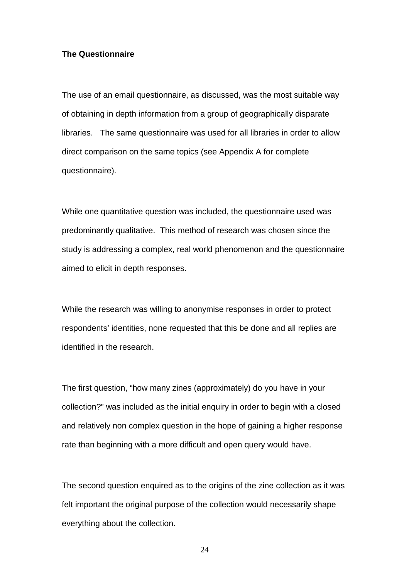## <span id="page-23-0"></span>**The Questionnaire**

The use of an email questionnaire, as discussed, was the most suitable way of obtaining in depth information from a group of geographically disparate libraries. The same questionnaire was used for all libraries in order to allow direct comparison on the same topics (see Appendix A for complete questionnaire).

While one quantitative question was included, the questionnaire used was predominantly qualitative. This method of research was chosen since the study is addressing a complex, real world phenomenon and the questionnaire aimed to elicit in depth responses.

While the research was willing to anonymise responses in order to protect respondents' identities, none requested that this be done and all replies are identified in the research.

The first question, "how many zines (approximately) do you have in your collection?" was included as the initial enquiry in order to begin with a closed and relatively non complex question in the hope of gaining a higher response rate than beginning with a more difficult and open query would have.

The second question enquired as to the origins of the zine collection as it was felt important the original purpose of the collection would necessarily shape everything about the collection.

24 and 24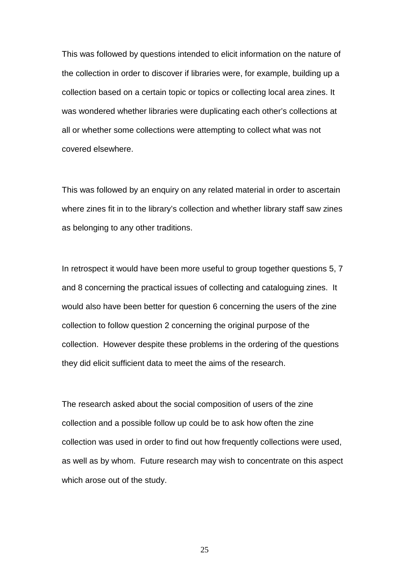This was followed by questions intended to elicit information on the nature of the collection in order to discover if libraries were, for example, building up a collection based on a certain topic or topics or collecting local area zines. It was wondered whether libraries were duplicating each other's collections at all or whether some collections were attempting to collect what was not covered elsewhere.

This was followed by an enquiry on any related material in order to ascertain where zines fit in to the library's collection and whether library staff saw zines as belonging to any other traditions.

In retrospect it would have been more useful to group together questions 5, 7 and 8 concerning the practical issues of collecting and cataloguing zines. It would also have been better for question 6 concerning the users of the zine collection to follow question 2 concerning the original purpose of the collection. However despite these problems in the ordering of the questions they did elicit sufficient data to meet the aims of the research.

The research asked about the social composition of users of the zine collection and a possible follow up could be to ask how often the zine collection was used in order to find out how frequently collections were used, as well as by whom. Future research may wish to concentrate on this aspect which arose out of the study.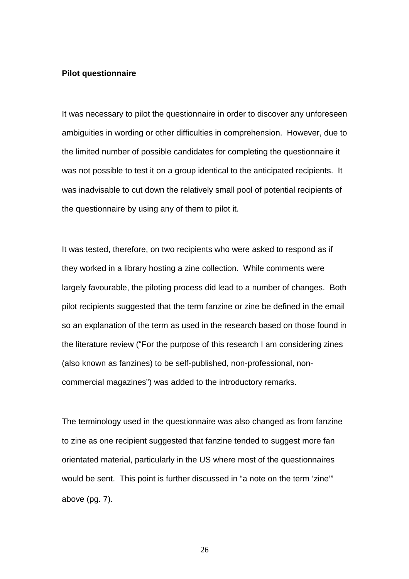### <span id="page-25-0"></span>**Pilot questionnaire**

It was necessary to pilot the questionnaire in order to discover any unforeseen ambiguities in wording or other difficulties in comprehension. However, due to the limited number of possible candidates for completing the questionnaire it was not possible to test it on a group identical to the anticipated recipients. It was inadvisable to cut down the relatively small pool of potential recipients of the questionnaire by using any of them to pilot it.

It was tested, therefore, on two recipients who were asked to respond as if they worked in a library hosting a zine collection. While comments were largely favourable, the piloting process did lead to a number of changes. Both pilot recipients suggested that the term fanzine or zine be defined in the email so an explanation of the term as used in the research based on those found in the literature review ("For the purpose of this research I am considering zines (also known as fanzines) to be self-published, non-professional, noncommercial magazines") was added to the introductory remarks.

The terminology used in the questionnaire was also changed as from fanzine to zine as one recipient suggested that fanzine tended to suggest more fan orientated material, particularly in the US where most of the questionnaires would be sent. This point is further discussed in "a note on the term 'zine" above (pg. 7).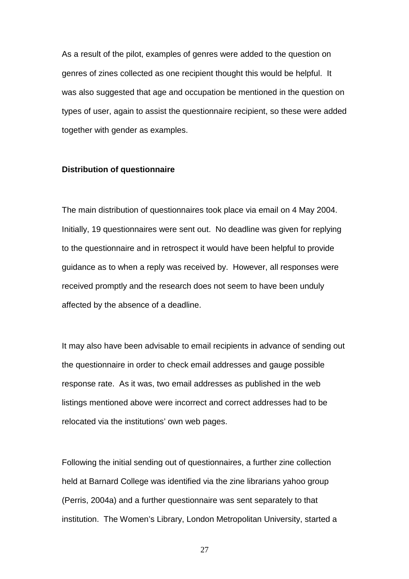<span id="page-26-0"></span>As a result of the pilot, examples of genres were added to the question on genres of zines collected as one recipient thought this would be helpful. It was also suggested that age and occupation be mentioned in the question on types of user, again to assist the questionnaire recipient, so these were added together with gender as examples.

### **Distribution of questionnaire**

The main distribution of questionnaires took place via email on 4 May 2004. Initially, 19 questionnaires were sent out. No deadline was given for replying to the questionnaire and in retrospect it would have been helpful to provide guidance as to when a reply was received by. However, all responses were received promptly and the research does not seem to have been unduly affected by the absence of a deadline.

It may also have been advisable to email recipients in advance of sending out the questionnaire in order to check email addresses and gauge possible response rate. As it was, two email addresses as published in the web listings mentioned above were incorrect and correct addresses had to be relocated via the institutions' own web pages.

Following the initial sending out of questionnaires, a further zine collection held at Barnard College was identified via the zine librarians yahoo group (Perris, 2004a) and a further questionnaire was sent separately to that institution. The Women's Library, London Metropolitan University, started a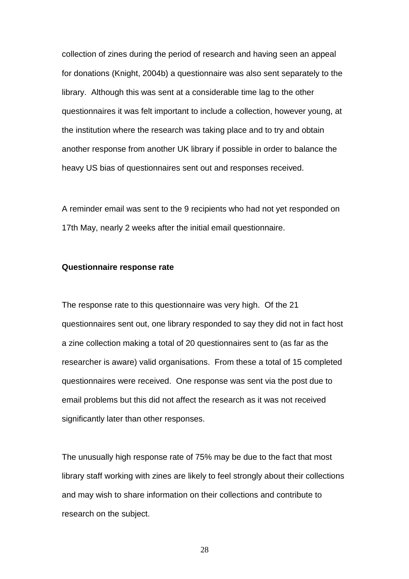<span id="page-27-0"></span>collection of zines during the period of research and having seen an appeal for donations (Knight, 2004b) a questionnaire was also sent separately to the library. Although this was sent at a considerable time lag to the other questionnaires it was felt important to include a collection, however young, at the institution where the research was taking place and to try and obtain another response from another UK library if possible in order to balance the heavy US bias of questionnaires sent out and responses received.

A reminder email was sent to the 9 recipients who had not yet responded on 17th May, nearly 2 weeks after the initial email questionnaire.

### **Questionnaire response rate**

The response rate to this questionnaire was very high. Of the 21 questionnaires sent out, one library responded to say they did not in fact host a zine collection making a total of 20 questionnaires sent to (as far as the researcher is aware) valid organisations. From these a total of 15 completed questionnaires were received. One response was sent via the post due to email problems but this did not affect the research as it was not received significantly later than other responses.

The unusually high response rate of 75% may be due to the fact that most library staff working with zines are likely to feel strongly about their collections and may wish to share information on their collections and contribute to research on the subject.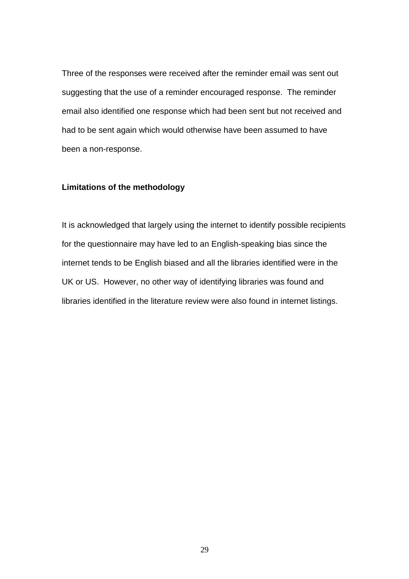<span id="page-28-0"></span>Three of the responses were received after the reminder email was sent out suggesting that the use of a reminder encouraged response. The reminder email also identified one response which had been sent but not received and had to be sent again which would otherwise have been assumed to have been a non-response.

## **Limitations of the methodology**

It is acknowledged that largely using the internet to identify possible recipients for the questionnaire may have led to an English-speaking bias since the internet tends to be English biased and all the libraries identified were in the UK or US. However, no other way of identifying libraries was found and libraries identified in the literature review were also found in internet listings.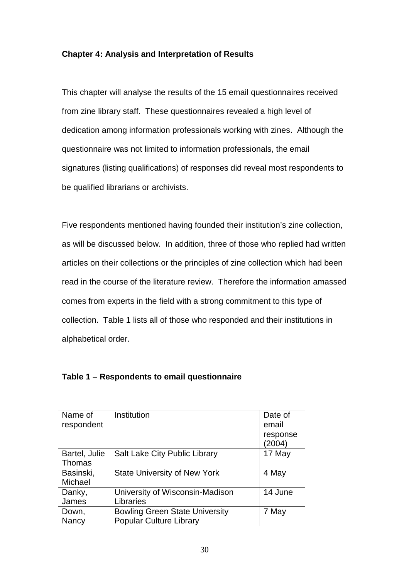# <span id="page-29-0"></span>**Chapter 4: Analysis and Interpretation of Results**

This chapter will analyse the results of the 15 email questionnaires received from zine library staff. These questionnaires revealed a high level of dedication among information professionals working with zines. Although the questionnaire was not limited to information professionals, the email signatures (listing qualifications) of responses did reveal most respondents to be qualified librarians or archivists.

Five respondents mentioned having founded their institution's zine collection, as will be discussed below. In addition, three of those who replied had written articles on their collections or the principles of zine collection which had been read in the course of the literature review. Therefore the information amassed comes from experts in the field with a strong commitment to this type of collection. Table 1 lists all of those who responded and their institutions in alphabetical order.

| Name of<br>respondent | Institution                           | Date of<br>email   |
|-----------------------|---------------------------------------|--------------------|
|                       |                                       | response<br>(2004) |
| Bartel, Julie         | <b>Salt Lake City Public Library</b>  | 17 May             |
| Thomas                |                                       |                    |
| Basinski,             | <b>State University of New York</b>   | 4 May              |
| Michael               |                                       |                    |
| Danky,                | University of Wisconsin-Madison       | 14 June            |
| James                 | Libraries                             |                    |
| Down,                 | <b>Bowling Green State University</b> | 7 May              |
| Nancy                 | <b>Popular Culture Library</b>        |                    |

# **Table 1 – Respondents to email questionnaire**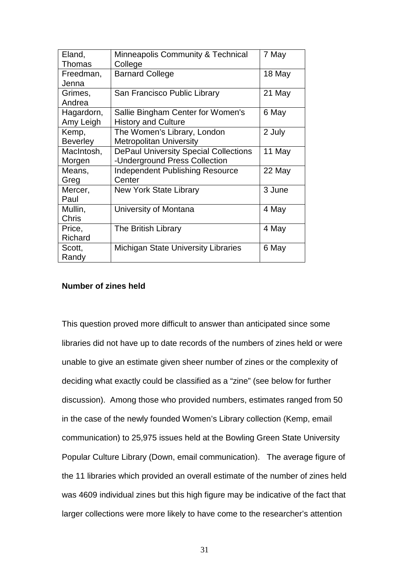<span id="page-30-0"></span>

| Eland,          | Minneapolis Community & Technical            | 7 May  |
|-----------------|----------------------------------------------|--------|
| <b>Thomas</b>   | College                                      |        |
| Freedman,       | <b>Barnard College</b>                       | 18 May |
| Jenna           |                                              |        |
| Grimes,         | San Francisco Public Library                 | 21 May |
| Andrea          |                                              |        |
| Hagardorn,      | Sallie Bingham Center for Women's            | 6 May  |
| Amy Leigh       | <b>History and Culture</b>                   |        |
| Kemp,           | The Women's Library, London                  | 2 July |
| <b>Beverley</b> | <b>Metropolitan University</b>               |        |
| MacIntosh,      | <b>DePaul University Special Collections</b> | 11 May |
| Morgen          | -Underground Press Collection                |        |
| Means,          | <b>Independent Publishing Resource</b>       | 22 May |
| Greg            | Center                                       |        |
| Mercer,         | New York State Library                       | 3 June |
| Paul            |                                              |        |
| Mullin,         | University of Montana                        | 4 May  |
| Chris           |                                              |        |
| Price,          | The British Library                          | 4 May  |
| Richard         |                                              |        |
| Scott,          | <b>Michigan State University Libraries</b>   | 6 May  |
| Randy           |                                              |        |

# **Number of zines held**

This question proved more difficult to answer than anticipated since some libraries did not have up to date records of the numbers of zines held or were unable to give an estimate given sheer number of zines or the complexity of deciding what exactly could be classified as a "zine" (see below for further discussion). Among those who provided numbers, estimates ranged from 50 in the case of the newly founded Women's Library collection (Kemp, email communication) to 25,975 issues held at the Bowling Green State University Popular Culture Library (Down, email communication). The average figure of the 11 libraries which provided an overall estimate of the number of zines held was 4609 individual zines but this high figure may be indicative of the fact that larger collections were more likely to have come to the researcher's attention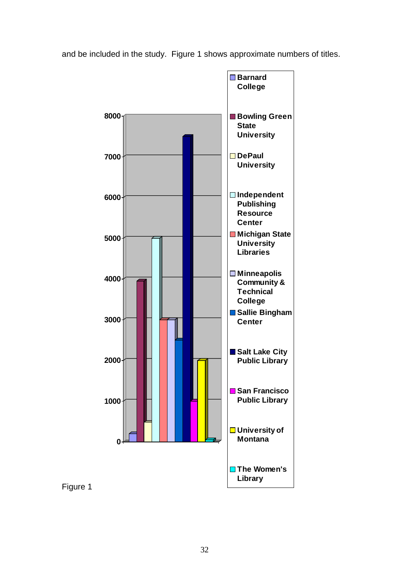and be included in the study. Figure 1 shows approximate numbers of titles.



Figure 1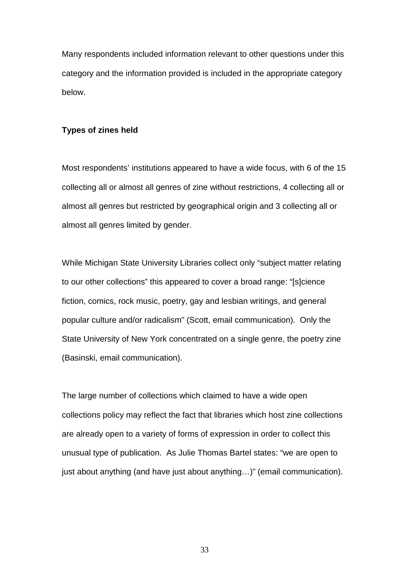<span id="page-32-0"></span>Many respondents included information relevant to other questions under this category and the information provided is included in the appropriate category below.

### **Types of zines held**

Most respondents' institutions appeared to have a wide focus, with 6 of the 15 collecting all or almost all genres of zine without restrictions, 4 collecting all or almost all genres but restricted by geographical origin and 3 collecting all or almost all genres limited by gender.

While Michigan State University Libraries collect only "subject matter relating to our other collections" this appeared to cover a broad range: "[s]cience fiction, comics, rock music, poetry, gay and lesbian writings, and general popular culture and/or radicalism" (Scott, email communication). Only the State University of New York concentrated on a single genre, the poetry zine (Basinski, email communication).

The large number of collections which claimed to have a wide open collections policy may reflect the fact that libraries which host zine collections are already open to a variety of forms of expression in order to collect this unusual type of publication. As Julie Thomas Bartel states: "we are open to just about anything (and have just about anything…)" (email communication).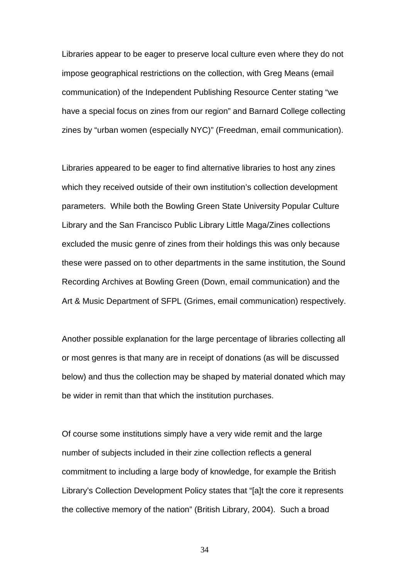Libraries appear to be eager to preserve local culture even where they do not impose geographical restrictions on the collection, with Greg Means (email communication) of the Independent Publishing Resource Center stating "we have a special focus on zines from our region" and Barnard College collecting zines by "urban women (especially NYC)" (Freedman, email communication).

Libraries appeared to be eager to find alternative libraries to host any zines which they received outside of their own institution's collection development parameters. While both the Bowling Green State University Popular Culture Library and the San Francisco Public Library Little Maga/Zines collections excluded the music genre of zines from their holdings this was only because these were passed on to other departments in the same institution, the Sound Recording Archives at Bowling Green (Down, email communication) and the Art & Music Department of SFPL (Grimes, email communication) respectively.

Another possible explanation for the large percentage of libraries collecting all or most genres is that many are in receipt of donations (as will be discussed below) and thus the collection may be shaped by material donated which may be wider in remit than that which the institution purchases.

Of course some institutions simply have a very wide remit and the large number of subjects included in their zine collection reflects a general commitment to including a large body of knowledge, for example the British Library's Collection Development Policy states that "[a]t the core it represents the collective memory of the nation" (British Library, 2004). Such a broad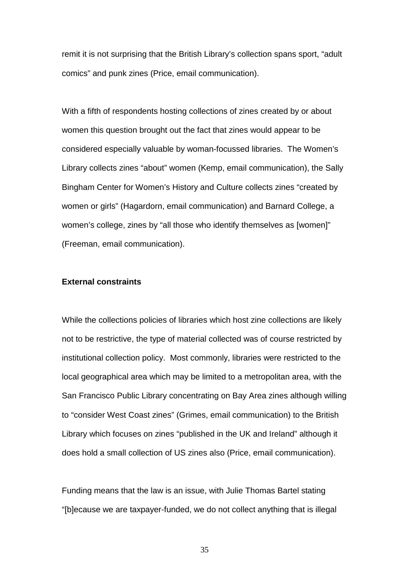<span id="page-34-0"></span>remit it is not surprising that the British Library's collection spans sport, "adult comics" and punk zines (Price, email communication).

With a fifth of respondents hosting collections of zines created by or about women this question brought out the fact that zines would appear to be considered especially valuable by woman-focussed libraries. The Women's Library collects zines "about" women (Kemp, email communication), the Sally Bingham Center for Women's History and Culture collects zines "created by women or girls" (Hagardorn, email communication) and Barnard College, a women's college, zines by "all those who identify themselves as [women]" (Freeman, email communication).

# **External constraints**

While the collections policies of libraries which host zine collections are likely not to be restrictive, the type of material collected was of course restricted by institutional collection policy. Most commonly, libraries were restricted to the local geographical area which may be limited to a metropolitan area, with the San Francisco Public Library concentrating on Bay Area zines although willing to "consider West Coast zines" (Grimes, email communication) to the British Library which focuses on zines "published in the UK and Ireland" although it does hold a small collection of US zines also (Price, email communication).

Funding means that the law is an issue, with Julie Thomas Bartel stating "[b]ecause we are taxpayer-funded, we do not collect anything that is illegal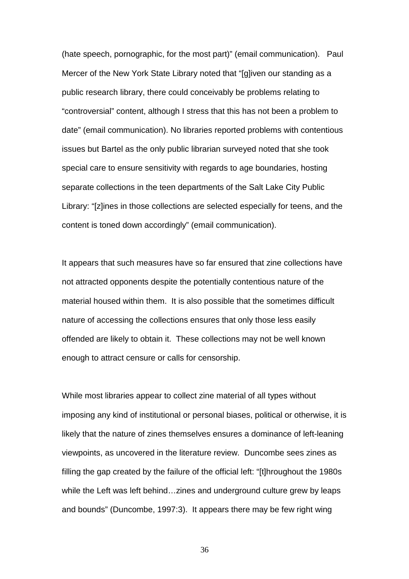(hate speech, pornographic, for the most part)" (email communication). Paul Mercer of the New York State Library noted that "[g]iven our standing as a public research library, there could conceivably be problems relating to "controversial" content, although I stress that this has not been a problem to date" (email communication). No libraries reported problems with contentious issues but Bartel as the only public librarian surveyed noted that she took special care to ensure sensitivity with regards to age boundaries, hosting separate collections in the teen departments of the Salt Lake City Public Library: "[z]ines in those collections are selected especially for teens, and the content is toned down accordingly" (email communication).

It appears that such measures have so far ensured that zine collections have not attracted opponents despite the potentially contentious nature of the material housed within them. It is also possible that the sometimes difficult nature of accessing the collections ensures that only those less easily offended are likely to obtain it. These collections may not be well known enough to attract censure or calls for censorship.

While most libraries appear to collect zine material of all types without imposing any kind of institutional or personal biases, political or otherwise, it is likely that the nature of zines themselves ensures a dominance of left-leaning viewpoints, as uncovered in the literature review. Duncombe sees zines as filling the gap created by the failure of the official left: "[t]hroughout the 1980s while the Left was left behind…zines and underground culture grew by leaps and bounds" (Duncombe, 1997:3). It appears there may be few right wing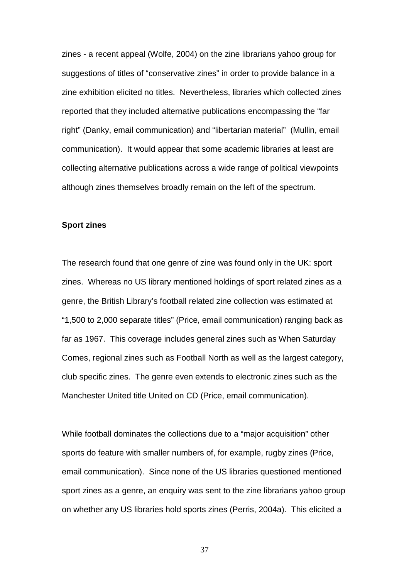<span id="page-36-0"></span>zines - a recent appeal (Wolfe, 2004) on the zine librarians yahoo group for suggestions of titles of "conservative zines" in order to provide balance in a zine exhibition elicited no titles. Nevertheless, libraries which collected zines reported that they included alternative publications encompassing the "far right" (Danky, email communication) and "libertarian material" (Mullin, email communication). It would appear that some academic libraries at least are collecting alternative publications across a wide range of political viewpoints although zines themselves broadly remain on the left of the spectrum.

### **Sport zines**

The research found that one genre of zine was found only in the UK: sport zines. Whereas no US library mentioned holdings of sport related zines as a genre, the British Library's football related zine collection was estimated at "1,500 to 2,000 separate titles" (Price, email communication) ranging back as far as 1967. This coverage includes general zines such as When Saturday Comes, regional zines such as Football North as well as the largest category, club specific zines. The genre even extends to electronic zines such as the Manchester United title United on CD (Price, email communication).

While football dominates the collections due to a "major acquisition" other sports do feature with smaller numbers of, for example, rugby zines (Price, email communication). Since none of the US libraries questioned mentioned sport zines as a genre, an enquiry was sent to the zine librarians yahoo group on whether any US libraries hold sports zines (Perris, 2004a). This elicited a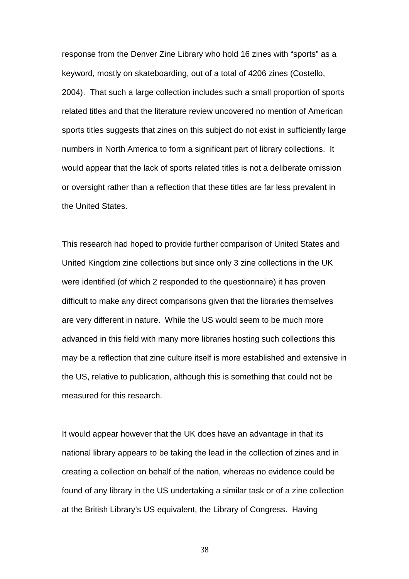response from the Denver Zine Library who hold 16 zines with "sports" as a keyword, mostly on skateboarding, out of a total of 4206 zines (Costello, 2004). That such a large collection includes such a small proportion of sports related titles and that the literature review uncovered no mention of American sports titles suggests that zines on this subject do not exist in sufficiently large numbers in North America to form a significant part of library collections. It would appear that the lack of sports related titles is not a deliberate omission or oversight rather than a reflection that these titles are far less prevalent in the United States.

This research had hoped to provide further comparison of United States and United Kingdom zine collections but since only 3 zine collections in the UK were identified (of which 2 responded to the questionnaire) it has proven difficult to make any direct comparisons given that the libraries themselves are very different in nature. While the US would seem to be much more advanced in this field with many more libraries hosting such collections this may be a reflection that zine culture itself is more established and extensive in the US, relative to publication, although this is something that could not be measured for this research.

It would appear however that the UK does have an advantage in that its national library appears to be taking the lead in the collection of zines and in creating a collection on behalf of the nation, whereas no evidence could be found of any library in the US undertaking a similar task or of a zine collection at the British Library's US equivalent, the Library of Congress. Having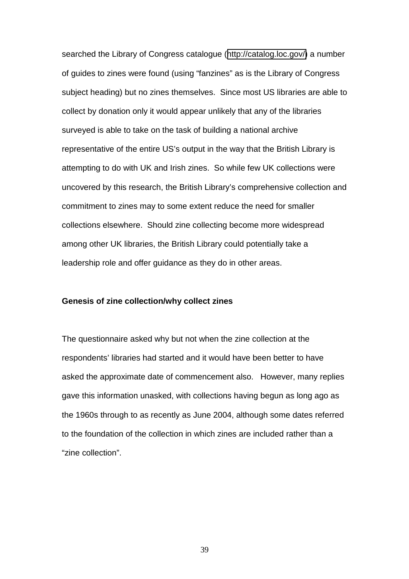<span id="page-38-0"></span>searched the Library of Congress catalogue ([http://catalog.loc.gov/\)](http://catalog.loc.gov/) a number of guides to zines were found (using "fanzines" as is the Library of Congress subject heading) but no zines themselves. Since most US libraries are able to collect by donation only it would appear unlikely that any of the libraries surveyed is able to take on the task of building a national archive representative of the entire US's output in the way that the British Library is attempting to do with UK and Irish zines. So while few UK collections were uncovered by this research, the British Library's comprehensive collection and commitment to zines may to some extent reduce the need for smaller collections elsewhere. Should zine collecting become more widespread among other UK libraries, the British Library could potentially take a leadership role and offer guidance as they do in other areas.

### **Genesis of zine collection/why collect zines**

The questionnaire asked why but not when the zine collection at the respondents' libraries had started and it would have been better to have asked the approximate date of commencement also. However, many replies gave this information unasked, with collections having begun as long ago as the 1960s through to as recently as June 2004, although some dates referred to the foundation of the collection in which zines are included rather than a "zine collection".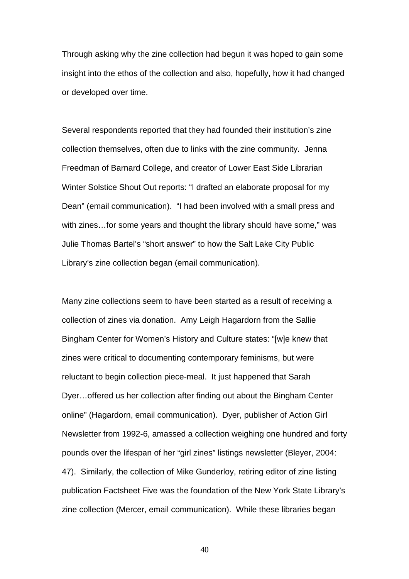Through asking why the zine collection had begun it was hoped to gain some insight into the ethos of the collection and also, hopefully, how it had changed or developed over time.

Several respondents reported that they had founded their institution's zine collection themselves, often due to links with the zine community. Jenna Freedman of Barnard College, and creator of Lower East Side Librarian Winter Solstice Shout Out reports: "I drafted an elaborate proposal for my Dean" (email communication). "I had been involved with a small press and with zines…for some years and thought the library should have some," was Julie Thomas Bartel's "short answer" to how the Salt Lake City Public Library's zine collection began (email communication).

Many zine collections seem to have been started as a result of receiving a collection of zines via donation. Amy Leigh Hagardorn from the Sallie Bingham Center for Women's History and Culture states: "[w]e knew that zines were critical to documenting contemporary feminisms, but were reluctant to begin collection piece-meal. It just happened that Sarah Dyer…offered us her collection after finding out about the Bingham Center online" (Hagardorn, email communication). Dyer, publisher of Action Girl Newsletter from 1992-6, amassed a collection weighing one hundred and forty pounds over the lifespan of her "girl zines" listings newsletter (Bleyer, 2004: 47). Similarly, the collection of Mike Gunderloy, retiring editor of zine listing publication Factsheet Five was the foundation of the New York State Library's zine collection (Mercer, email communication). While these libraries began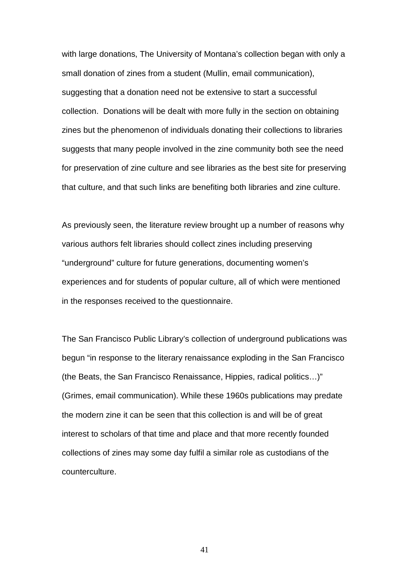with large donations, The University of Montana's collection began with only a small donation of zines from a student (Mullin, email communication), suggesting that a donation need not be extensive to start a successful collection. Donations will be dealt with more fully in the section on obtaining zines but the phenomenon of individuals donating their collections to libraries suggests that many people involved in the zine community both see the need for preservation of zine culture and see libraries as the best site for preserving that culture, and that such links are benefiting both libraries and zine culture.

As previously seen, the literature review brought up a number of reasons why various authors felt libraries should collect zines including preserving "underground" culture for future generations, documenting women's experiences and for students of popular culture, all of which were mentioned in the responses received to the questionnaire.

The San Francisco Public Library's collection of underground publications was begun "in response to the literary renaissance exploding in the San Francisco (the Beats, the San Francisco Renaissance, Hippies, radical politics…)" (Grimes, email communication). While these 1960s publications may predate the modern zine it can be seen that this collection is and will be of great interest to scholars of that time and place and that more recently founded collections of zines may some day fulfil a similar role as custodians of the counterculture.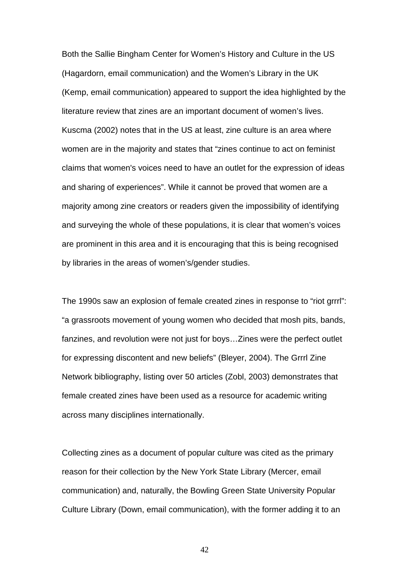Both the Sallie Bingham Center for Women's History and Culture in the US (Hagardorn, email communication) and the Women's Library in the UK (Kemp, email communication) appeared to support the idea highlighted by the literature review that zines are an important document of women's lives. Kuscma (2002) notes that in the US at least, zine culture is an area where women are in the majority and states that "zines continue to act on feminist claims that women's voices need to have an outlet for the expression of ideas and sharing of experiences". While it cannot be proved that women are a majority among zine creators or readers given the impossibility of identifying and surveying the whole of these populations, it is clear that women's voices are prominent in this area and it is encouraging that this is being recognised by libraries in the areas of women's/gender studies.

The 1990s saw an explosion of female created zines in response to "riot grrrl": "a grassroots movement of young women who decided that mosh pits, bands, fanzines, and revolution were not just for boys…Zines were the perfect outlet for expressing discontent and new beliefs" (Bleyer, 2004). The Grrrl Zine Network bibliography, listing over 50 articles (Zobl, 2003) demonstrates that female created zines have been used as a resource for academic writing across many disciplines internationally.

Collecting zines as a document of popular culture was cited as the primary reason for their collection by the New York State Library (Mercer, email communication) and, naturally, the Bowling Green State University Popular Culture Library (Down, email communication), with the former adding it to an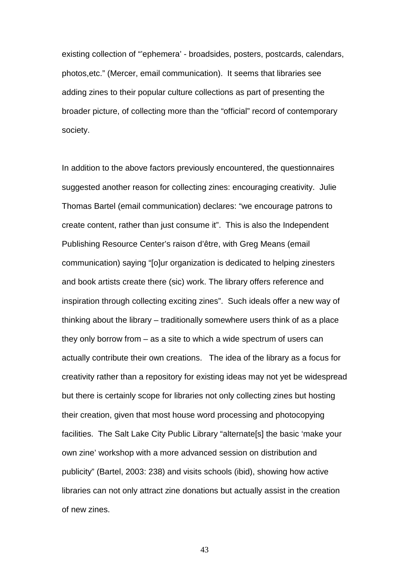existing collection of "'ephemera' - broadsides, posters, postcards, calendars, photos,etc." (Mercer, email communication). It seems that libraries see adding zines to their popular culture collections as part of presenting the broader picture, of collecting more than the "official" record of contemporary society.

In addition to the above factors previously encountered, the questionnaires suggested another reason for collecting zines: encouraging creativity. Julie Thomas Bartel (email communication) declares: "we encourage patrons to create content, rather than just consume it". This is also the Independent Publishing Resource Center's raison d'être, with Greg Means (email communication) saying "[o]ur organization is dedicated to helping zinesters and book artists create there (sic) work. The library offers reference and inspiration through collecting exciting zines". Such ideals offer a new way of thinking about the library – traditionally somewhere users think of as a place they only borrow from – as a site to which a wide spectrum of users can actually contribute their own creations. The idea of the library as a focus for creativity rather than a repository for existing ideas may not yet be widespread but there is certainly scope for libraries not only collecting zines but hosting their creation, given that most house word processing and photocopying facilities. The Salt Lake City Public Library "alternate[s] the basic 'make your own zine' workshop with a more advanced session on distribution and publicity" (Bartel, 2003: 238) and visits schools (ibid), showing how active libraries can not only attract zine donations but actually assist in the creation of new zines.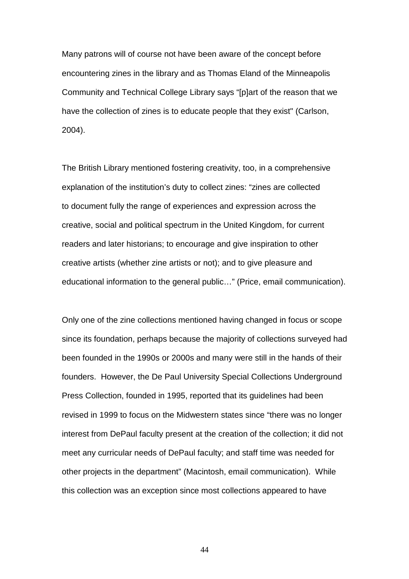Many patrons will of course not have been aware of the concept before encountering zines in the library and as Thomas Eland of the Minneapolis Community and Technical College Library says "[p]art of the reason that we have the collection of zines is to educate people that they exist" (Carlson, 2004).

The British Library mentioned fostering creativity, too, in a comprehensive explanation of the institution's duty to collect zines: "zines are collected to document fully the range of experiences and expression across the creative, social and political spectrum in the United Kingdom, for current readers and later historians; to encourage and give inspiration to other creative artists (whether zine artists or not); and to give pleasure and educational information to the general public…" (Price, email communication).

Only one of the zine collections mentioned having changed in focus or scope since its foundation, perhaps because the majority of collections surveyed had been founded in the 1990s or 2000s and many were still in the hands of their founders. However, the De Paul University Special Collections Underground Press Collection, founded in 1995, reported that its guidelines had been revised in 1999 to focus on the Midwestern states since "there was no longer interest from DePaul faculty present at the creation of the collection; it did not meet any curricular needs of DePaul faculty; and staff time was needed for other projects in the department" (Macintosh, email communication). While this collection was an exception since most collections appeared to have

44 and 2012 and 2014 and 2014 and 2014 and 2014 and 2014 and 2014 and 2014 and 2014 and 2014 and 2014 and 201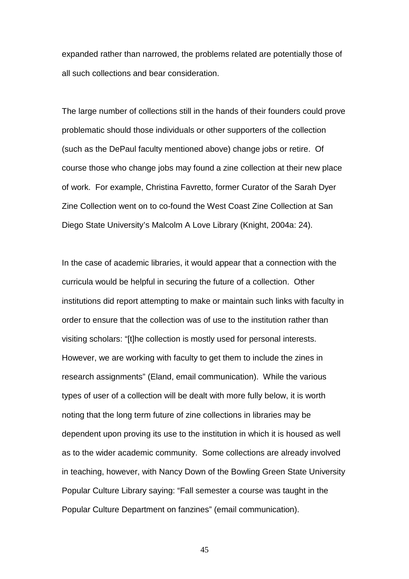expanded rather than narrowed, the problems related are potentially those of all such collections and bear consideration.

The large number of collections still in the hands of their founders could prove problematic should those individuals or other supporters of the collection (such as the DePaul faculty mentioned above) change jobs or retire. Of course those who change jobs may found a zine collection at their new place of work. For example, Christina Favretto, former Curator of the Sarah Dyer Zine Collection went on to co-found the West Coast Zine Collection at San Diego State University's Malcolm A Love Library (Knight, 2004a: 24).

In the case of academic libraries, it would appear that a connection with the curricula would be helpful in securing the future of a collection. Other institutions did report attempting to make or maintain such links with faculty in order to ensure that the collection was of use to the institution rather than visiting scholars: "[t]he collection is mostly used for personal interests. However, we are working with faculty to get them to include the zines in research assignments" (Eland, email communication). While the various types of user of a collection will be dealt with more fully below, it is worth noting that the long term future of zine collections in libraries may be dependent upon proving its use to the institution in which it is housed as well as to the wider academic community. Some collections are already involved in teaching, however, with Nancy Down of the Bowling Green State University Popular Culture Library saying: "Fall semester a course was taught in the Popular Culture Department on fanzines" (email communication).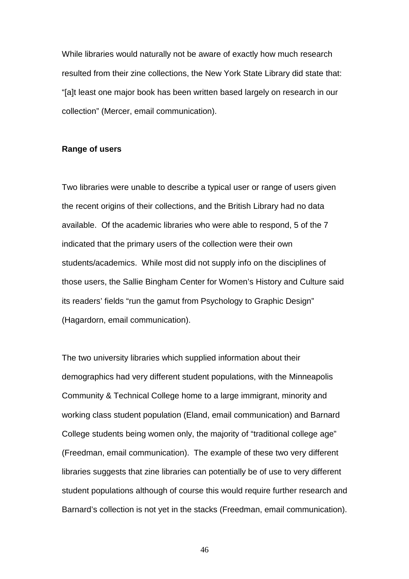<span id="page-45-0"></span>While libraries would naturally not be aware of exactly how much research resulted from their zine collections, the New York State Library did state that: "[a]t least one major book has been written based largely on research in our collection" (Mercer, email communication).

### **Range of users**

Two libraries were unable to describe a typical user or range of users given the recent origins of their collections, and the British Library had no data available. Of the academic libraries who were able to respond, 5 of the 7 indicated that the primary users of the collection were their own students/academics. While most did not supply info on the disciplines of those users, the Sallie Bingham Center for Women's History and Culture said its readers' fields "run the gamut from Psychology to Graphic Design" (Hagardorn, email communication).

The two university libraries which supplied information about their demographics had very different student populations, with the Minneapolis Community & Technical College home to a large immigrant, minority and working class student population (Eland, email communication) and Barnard College students being women only, the majority of "traditional college age" (Freedman, email communication). The example of these two very different libraries suggests that zine libraries can potentially be of use to very different student populations although of course this would require further research and Barnard's collection is not yet in the stacks (Freedman, email communication).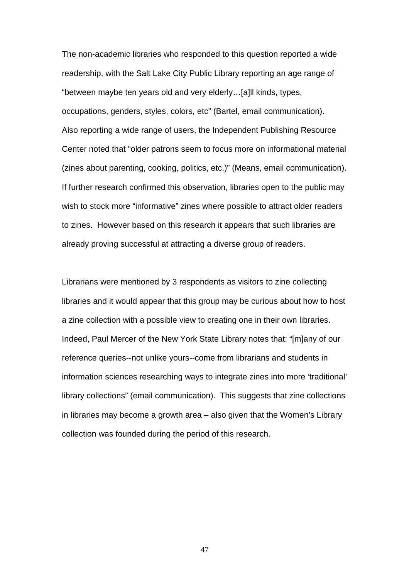The non-academic libraries who responded to this question reported a wide readership, with the Salt Lake City Public Library reporting an age range of "between maybe ten years old and very elderly…[a]ll kinds, types, occupations, genders, styles, colors, etc" (Bartel, email communication). Also reporting a wide range of users, the Independent Publishing Resource Center noted that "older patrons seem to focus more on informational material (zines about parenting, cooking, politics, etc.)" (Means, email communication). If further research confirmed this observation, libraries open to the public may wish to stock more "informative" zines where possible to attract older readers to zines. However based on this research it appears that such libraries are already proving successful at attracting a diverse group of readers.

Librarians were mentioned by 3 respondents as visitors to zine collecting libraries and it would appear that this group may be curious about how to host a zine collection with a possible view to creating one in their own libraries. Indeed, Paul Mercer of the New York State Library notes that: "[m]any of our reference queries--not unlike yours--come from librarians and students in information sciences researching ways to integrate zines into more 'traditional' library collections" (email communication). This suggests that zine collections in libraries may become a growth area – also given that the Women's Library collection was founded during the period of this research.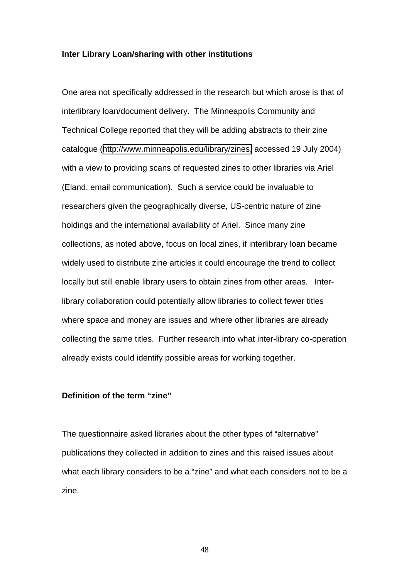### <span id="page-47-0"></span>**Inter Library Loan/sharing with other institutions**

One area not specifically addressed in the research but which arose is that of interlibrary loan/document delivery. The Minneapolis Community and Technical College reported that they will be adding abstracts to their zine catalogue ([http://www.minneapolis.edu/library/zines,](http://www.minneapolis.edu/library/zines) accessed 19 July 2004) with a view to providing scans of requested zines to other libraries via Ariel (Eland, email communication). Such a service could be invaluable to researchers given the geographically diverse, US-centric nature of zine holdings and the international availability of Ariel. Since many zine collections, as noted above, focus on local zines, if interlibrary loan became widely used to distribute zine articles it could encourage the trend to collect locally but still enable library users to obtain zines from other areas. Interlibrary collaboration could potentially allow libraries to collect fewer titles where space and money are issues and where other libraries are already collecting the same titles. Further research into what inter-library co-operation already exists could identify possible areas for working together.

# **Definition of the term "zine"**

The questionnaire asked libraries about the other types of "alternative" publications they collected in addition to zines and this raised issues about what each library considers to be a "zine" and what each considers not to be a zine.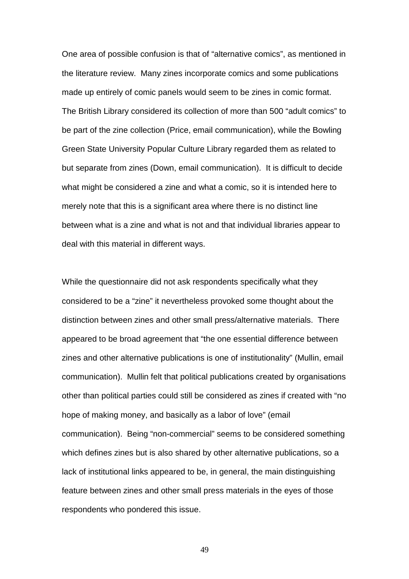One area of possible confusion is that of "alternative comics", as mentioned in the literature review. Many zines incorporate comics and some publications made up entirely of comic panels would seem to be zines in comic format. The British Library considered its collection of more than 500 "adult comics" to be part of the zine collection (Price, email communication), while the Bowling Green State University Popular Culture Library regarded them as related to but separate from zines (Down, email communication). It is difficult to decide what might be considered a zine and what a comic, so it is intended here to merely note that this is a significant area where there is no distinct line between what is a zine and what is not and that individual libraries appear to deal with this material in different ways.

While the questionnaire did not ask respondents specifically what they considered to be a "zine" it nevertheless provoked some thought about the distinction between zines and other small press/alternative materials. There appeared to be broad agreement that "the one essential difference between zines and other alternative publications is one of institutionality" (Mullin, email communication). Mullin felt that political publications created by organisations other than political parties could still be considered as zines if created with "no hope of making money, and basically as a labor of love" (email communication). Being "non-commercial" seems to be considered something which defines zines but is also shared by other alternative publications, so a lack of institutional links appeared to be, in general, the main distinguishing feature between zines and other small press materials in the eyes of those respondents who pondered this issue.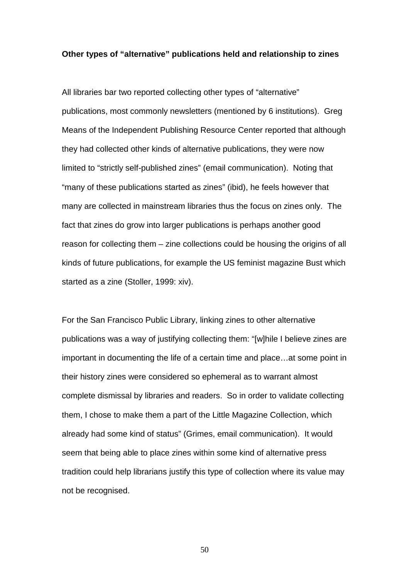#### <span id="page-49-0"></span>**Other types of "alternative" publications held and relationship to zines**

All libraries bar two reported collecting other types of "alternative" publications, most commonly newsletters (mentioned by 6 institutions). Greg Means of the Independent Publishing Resource Center reported that although they had collected other kinds of alternative publications, they were now limited to "strictly self-published zines" (email communication). Noting that "many of these publications started as zines" (ibid), he feels however that many are collected in mainstream libraries thus the focus on zines only. The fact that zines do grow into larger publications is perhaps another good reason for collecting them – zine collections could be housing the origins of all kinds of future publications, for example the US feminist magazine Bust which started as a zine (Stoller, 1999: xiv).

For the San Francisco Public Library, linking zines to other alternative publications was a way of justifying collecting them: "[w]hile I believe zines are important in documenting the life of a certain time and place…at some point in their history zines were considered so ephemeral as to warrant almost complete dismissal by libraries and readers. So in order to validate collecting them, I chose to make them a part of the Little Magazine Collection, which already had some kind of status" (Grimes, email communication). It would seem that being able to place zines within some kind of alternative press tradition could help librarians justify this type of collection where its value may not be recognised.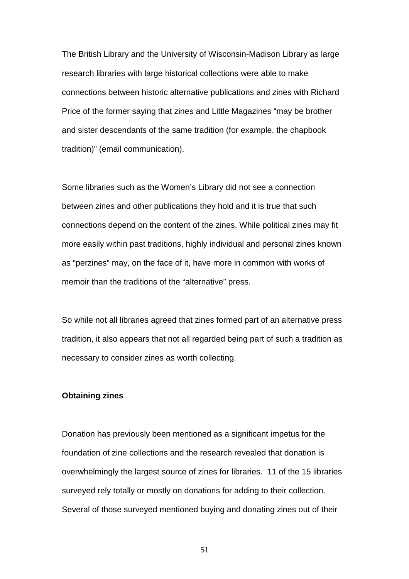<span id="page-50-0"></span>The British Library and the University of Wisconsin-Madison Library as large research libraries with large historical collections were able to make connections between historic alternative publications and zines with Richard Price of the former saying that zines and Little Magazines "may be brother and sister descendants of the same tradition (for example, the chapbook tradition)" (email communication).

Some libraries such as the Women's Library did not see a connection between zines and other publications they hold and it is true that such connections depend on the content of the zines. While political zines may fit more easily within past traditions, highly individual and personal zines known as "perzines" may, on the face of it, have more in common with works of memoir than the traditions of the "alternative" press.

So while not all libraries agreed that zines formed part of an alternative press tradition, it also appears that not all regarded being part of such a tradition as necessary to consider zines as worth collecting.

# **Obtaining zines**

Donation has previously been mentioned as a significant impetus for the foundation of zine collections and the research revealed that donation is overwhelmingly the largest source of zines for libraries. 11 of the 15 libraries surveyed rely totally or mostly on donations for adding to their collection. Several of those surveyed mentioned buying and donating zines out of their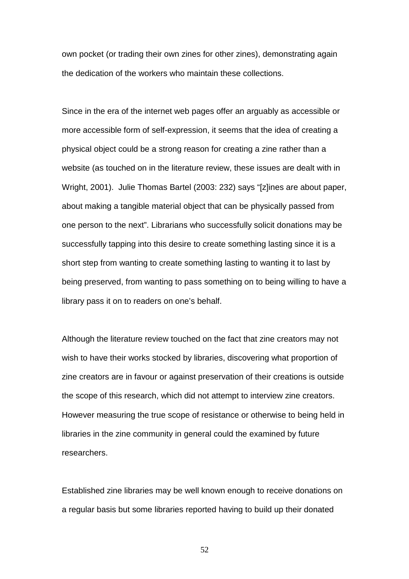own pocket (or trading their own zines for other zines), demonstrating again the dedication of the workers who maintain these collections.

Since in the era of the internet web pages offer an arguably as accessible or more accessible form of self-expression, it seems that the idea of creating a physical object could be a strong reason for creating a zine rather than a website (as touched on in the literature review, these issues are dealt with in Wright, 2001). Julie Thomas Bartel (2003: 232) says "[z]ines are about paper, about making a tangible material object that can be physically passed from one person to the next". Librarians who successfully solicit donations may be successfully tapping into this desire to create something lasting since it is a short step from wanting to create something lasting to wanting it to last by being preserved, from wanting to pass something on to being willing to have a library pass it on to readers on one's behalf.

Although the literature review touched on the fact that zine creators may not wish to have their works stocked by libraries, discovering what proportion of zine creators are in favour or against preservation of their creations is outside the scope of this research, which did not attempt to interview zine creators. However measuring the true scope of resistance or otherwise to being held in libraries in the zine community in general could the examined by future researchers.

Established zine libraries may be well known enough to receive donations on a regular basis but some libraries reported having to build up their donated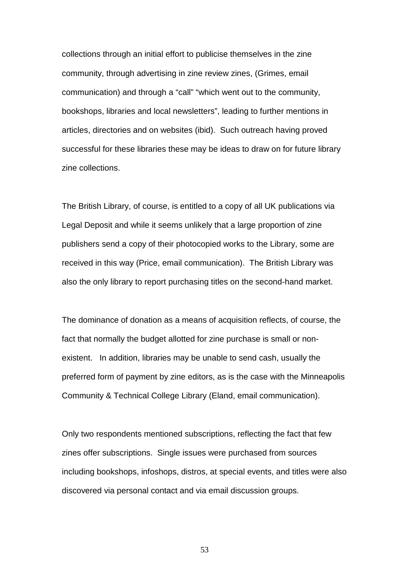collections through an initial effort to publicise themselves in the zine community, through advertising in zine review zines, (Grimes, email communication) and through a "call" "which went out to the community, bookshops, libraries and local newsletters", leading to further mentions in articles, directories and on websites (ibid). Such outreach having proved successful for these libraries these may be ideas to draw on for future library zine collections.

The British Library, of course, is entitled to a copy of all UK publications via Legal Deposit and while it seems unlikely that a large proportion of zine publishers send a copy of their photocopied works to the Library, some are received in this way (Price, email communication). The British Library was also the only library to report purchasing titles on the second-hand market.

The dominance of donation as a means of acquisition reflects, of course, the fact that normally the budget allotted for zine purchase is small or nonexistent. In addition, libraries may be unable to send cash, usually the preferred form of payment by zine editors, as is the case with the Minneapolis Community & Technical College Library (Eland, email communication).

Only two respondents mentioned subscriptions, reflecting the fact that few zines offer subscriptions. Single issues were purchased from sources including bookshops, infoshops, distros, at special events, and titles were also discovered via personal contact and via email discussion groups.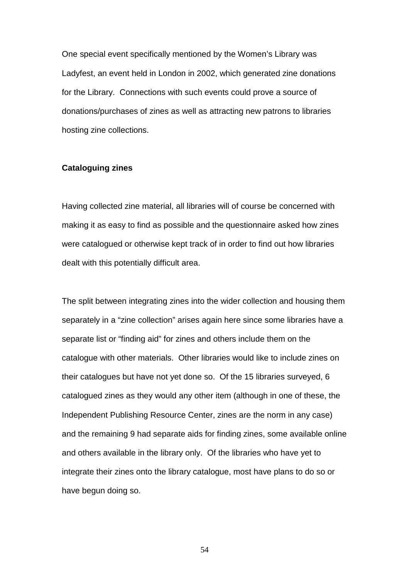<span id="page-53-0"></span>One special event specifically mentioned by the Women's Library was Ladyfest, an event held in London in 2002, which generated zine donations for the Library. Connections with such events could prove a source of donations/purchases of zines as well as attracting new patrons to libraries hosting zine collections.

### **Cataloguing zines**

Having collected zine material, all libraries will of course be concerned with making it as easy to find as possible and the questionnaire asked how zines were catalogued or otherwise kept track of in order to find out how libraries dealt with this potentially difficult area.

The split between integrating zines into the wider collection and housing them separately in a "zine collection" arises again here since some libraries have a separate list or "finding aid" for zines and others include them on the catalogue with other materials. Other libraries would like to include zines on their catalogues but have not yet done so. Of the 15 libraries surveyed, 6 catalogued zines as they would any other item (although in one of these, the Independent Publishing Resource Center, zines are the norm in any case) and the remaining 9 had separate aids for finding zines, some available online and others available in the library only. Of the libraries who have yet to integrate their zines onto the library catalogue, most have plans to do so or have begun doing so.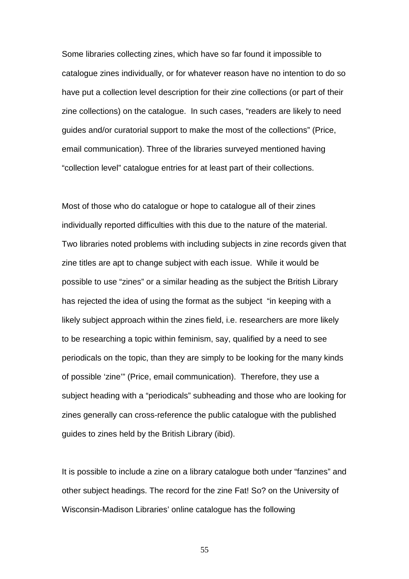Some libraries collecting zines, which have so far found it impossible to catalogue zines individually, or for whatever reason have no intention to do so have put a collection level description for their zine collections (or part of their zine collections) on the catalogue. In such cases, "readers are likely to need guides and/or curatorial support to make the most of the collections" (Price, email communication). Three of the libraries surveyed mentioned having "collection level" catalogue entries for at least part of their collections.

Most of those who do catalogue or hope to catalogue all of their zines individually reported difficulties with this due to the nature of the material. Two libraries noted problems with including subjects in zine records given that zine titles are apt to change subject with each issue. While it would be possible to use "zines" or a similar heading as the subject the British Library has rejected the idea of using the format as the subject "in keeping with a likely subject approach within the zines field, i.e. researchers are more likely to be researching a topic within feminism, say, qualified by a need to see periodicals on the topic, than they are simply to be looking for the many kinds of possible 'zine'" (Price, email communication). Therefore, they use a subject heading with a "periodicals" subheading and those who are looking for zines generally can cross-reference the public catalogue with the published guides to zines held by the British Library (ibid).

It is possible to include a zine on a library catalogue both under "fanzines" and other subject headings. The record for the zine Fat! So? on the University of Wisconsin-Madison Libraries' online catalogue has the following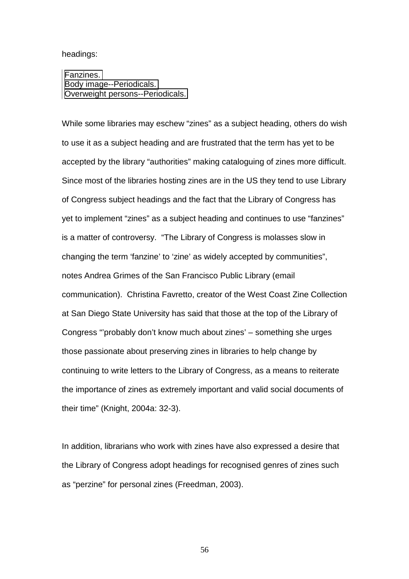### headings:

 [Fanzines.](http://madcat.library.wisc.edu/cgi-bin/Pwebrecon.cgi?SC=Subject&SEQ=20040720111438&PID=27109&SA=Fanzines.)  [Body image--Periodicals.](http://madcat.library.wisc.edu/cgi-bin/Pwebrecon.cgi?SC=Subject&SEQ=20040720111438&PID=27109&SA=Body+image+Periodicals.)  [Overweight persons--Periodicals.](http://madcat.library.wisc.edu/cgi-bin/Pwebrecon.cgi?SC=Subject&SEQ=20040720111438&PID=27109&SA=Overweight+persons+Periodicals.)

While some libraries may eschew "zines" as a subject heading, others do wish to use it as a subject heading and are frustrated that the term has yet to be accepted by the library "authorities" making cataloguing of zines more difficult. Since most of the libraries hosting zines are in the US they tend to use Library of Congress subject headings and the fact that the Library of Congress has yet to implement "zines" as a subject heading and continues to use "fanzines" is a matter of controversy. "The Library of Congress is molasses slow in changing the term 'fanzine' to 'zine' as widely accepted by communities", notes Andrea Grimes of the San Francisco Public Library (email communication). Christina Favretto, creator of the West Coast Zine Collection at San Diego State University has said that those at the top of the Library of Congress "'probably don't know much about zines' – something she urges those passionate about preserving zines in libraries to help change by continuing to write letters to the Library of Congress, as a means to reiterate the importance of zines as extremely important and valid social documents of their time" (Knight, 2004a: 32-3).

In addition, librarians who work with zines have also expressed a desire that the Library of Congress adopt headings for recognised genres of zines such as "perzine" for personal zines (Freedman, 2003).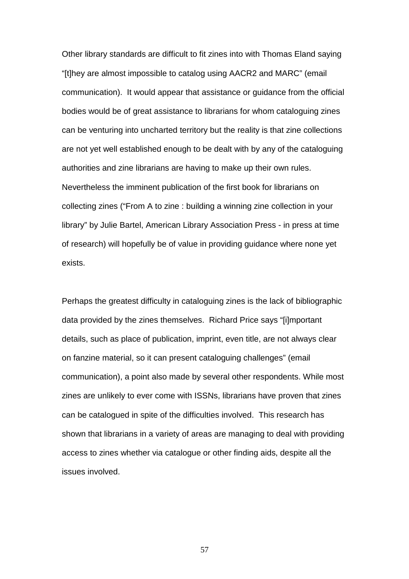Other library standards are difficult to fit zines into with Thomas Eland saying "[t]hey are almost impossible to catalog using AACR2 and MARC" (email communication). It would appear that assistance or guidance from the official bodies would be of great assistance to librarians for whom cataloguing zines can be venturing into uncharted territory but the reality is that zine collections are not yet well established enough to be dealt with by any of the cataloguing authorities and zine librarians are having to make up their own rules. Nevertheless the imminent publication of the first book for librarians on collecting zines ("From A to zine : building a winning zine collection in your library" by Julie Bartel, American Library Association Press - in press at time of research) will hopefully be of value in providing guidance where none yet exists.

Perhaps the greatest difficulty in cataloguing zines is the lack of bibliographic data provided by the zines themselves. Richard Price says "[i]mportant details, such as place of publication, imprint, even title, are not always clear on fanzine material, so it can present cataloguing challenges" (email communication), a point also made by several other respondents. While most zines are unlikely to ever come with ISSNs, librarians have proven that zines can be catalogued in spite of the difficulties involved. This research has shown that librarians in a variety of areas are managing to deal with providing access to zines whether via catalogue or other finding aids, despite all the issues involved.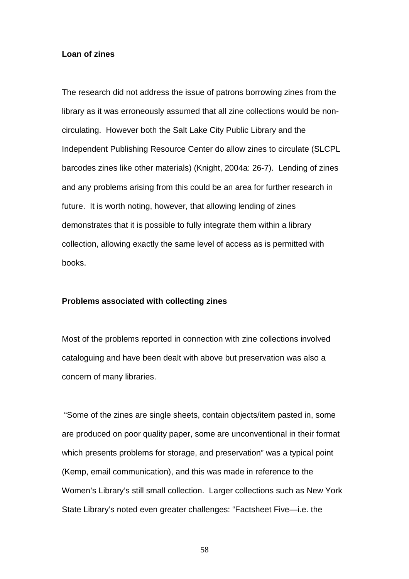### <span id="page-57-0"></span>**Loan of zines**

The research did not address the issue of patrons borrowing zines from the library as it was erroneously assumed that all zine collections would be noncirculating. However both the Salt Lake City Public Library and the Independent Publishing Resource Center do allow zines to circulate (SLCPL barcodes zines like other materials) (Knight, 2004a: 26-7). Lending of zines and any problems arising from this could be an area for further research in future. It is worth noting, however, that allowing lending of zines demonstrates that it is possible to fully integrate them within a library collection, allowing exactly the same level of access as is permitted with books.

### **Problems associated with collecting zines**

Most of the problems reported in connection with zine collections involved cataloguing and have been dealt with above but preservation was also a concern of many libraries.

 "Some of the zines are single sheets, contain objects/item pasted in, some are produced on poor quality paper, some are unconventional in their format which presents problems for storage, and preservation" was a typical point (Kemp, email communication), and this was made in reference to the Women's Library's still small collection. Larger collections such as New York State Library's noted even greater challenges: "Factsheet Five—i.e. the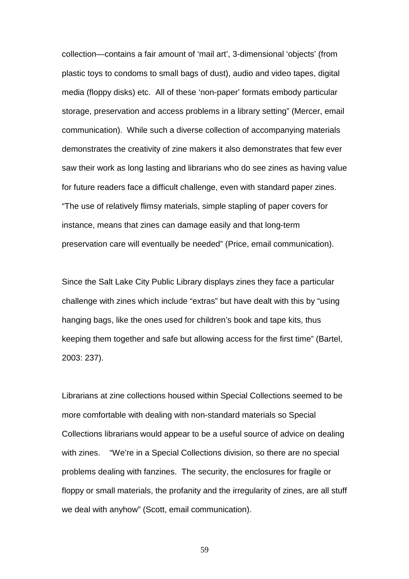collection—contains a fair amount of 'mail art', 3-dimensional 'objects' (from plastic toys to condoms to small bags of dust), audio and video tapes, digital media (floppy disks) etc. All of these 'non-paper' formats embody particular storage, preservation and access problems in a library setting" (Mercer, email communication). While such a diverse collection of accompanying materials demonstrates the creativity of zine makers it also demonstrates that few ever saw their work as long lasting and librarians who do see zines as having value for future readers face a difficult challenge, even with standard paper zines. "The use of relatively flimsy materials, simple stapling of paper covers for instance, means that zines can damage easily and that long-term preservation care will eventually be needed" (Price, email communication).

Since the Salt Lake City Public Library displays zines they face a particular challenge with zines which include "extras" but have dealt with this by "using hanging bags, like the ones used for children's book and tape kits, thus keeping them together and safe but allowing access for the first time" (Bartel, 2003: 237).

Librarians at zine collections housed within Special Collections seemed to be more comfortable with dealing with non-standard materials so Special Collections librarians would appear to be a useful source of advice on dealing with zines. "We're in a Special Collections division, so there are no special problems dealing with fanzines. The security, the enclosures for fragile or floppy or small materials, the profanity and the irregularity of zines, are all stuff we deal with anyhow" (Scott, email communication).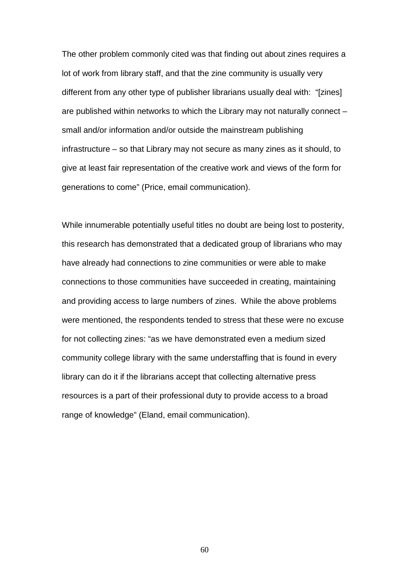The other problem commonly cited was that finding out about zines requires a lot of work from library staff, and that the zine community is usually very different from any other type of publisher librarians usually deal with: "[zines] are published within networks to which the Library may not naturally connect – small and/or information and/or outside the mainstream publishing infrastructure – so that Library may not secure as many zines as it should, to give at least fair representation of the creative work and views of the form for generations to come" (Price, email communication).

While innumerable potentially useful titles no doubt are being lost to posterity, this research has demonstrated that a dedicated group of librarians who may have already had connections to zine communities or were able to make connections to those communities have succeeded in creating, maintaining and providing access to large numbers of zines. While the above problems were mentioned, the respondents tended to stress that these were no excuse for not collecting zines: "as we have demonstrated even a medium sized community college library with the same understaffing that is found in every library can do it if the librarians accept that collecting alternative press resources is a part of their professional duty to provide access to a broad range of knowledge" (Eland, email communication).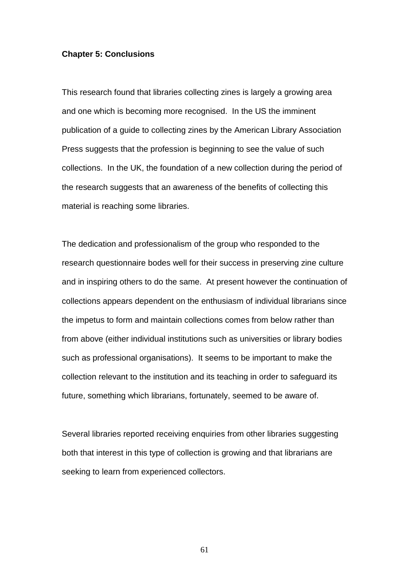### <span id="page-60-0"></span>**Chapter 5: Conclusions**

This research found that libraries collecting zines is largely a growing area and one which is becoming more recognised. In the US the imminent publication of a guide to collecting zines by the American Library Association Press suggests that the profession is beginning to see the value of such collections. In the UK, the foundation of a new collection during the period of the research suggests that an awareness of the benefits of collecting this material is reaching some libraries.

The dedication and professionalism of the group who responded to the research questionnaire bodes well for their success in preserving zine culture and in inspiring others to do the same. At present however the continuation of collections appears dependent on the enthusiasm of individual librarians since the impetus to form and maintain collections comes from below rather than from above (either individual institutions such as universities or library bodies such as professional organisations). It seems to be important to make the collection relevant to the institution and its teaching in order to safeguard its future, something which librarians, fortunately, seemed to be aware of.

Several libraries reported receiving enquiries from other libraries suggesting both that interest in this type of collection is growing and that librarians are seeking to learn from experienced collectors.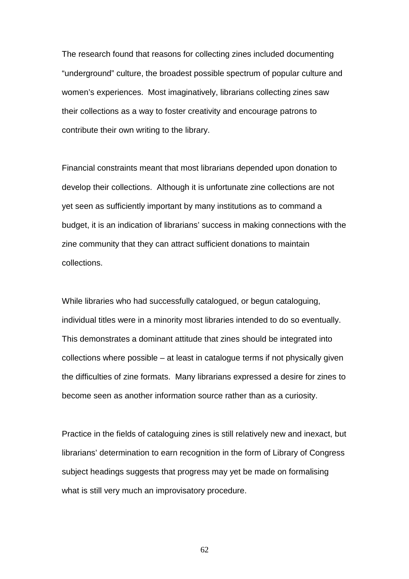The research found that reasons for collecting zines included documenting "underground" culture, the broadest possible spectrum of popular culture and women's experiences. Most imaginatively, librarians collecting zines saw their collections as a way to foster creativity and encourage patrons to contribute their own writing to the library.

Financial constraints meant that most librarians depended upon donation to develop their collections. Although it is unfortunate zine collections are not yet seen as sufficiently important by many institutions as to command a budget, it is an indication of librarians' success in making connections with the zine community that they can attract sufficient donations to maintain collections.

While libraries who had successfully catalogued, or begun cataloguing, individual titles were in a minority most libraries intended to do so eventually. This demonstrates a dominant attitude that zines should be integrated into collections where possible – at least in catalogue terms if not physically given the difficulties of zine formats. Many librarians expressed a desire for zines to become seen as another information source rather than as a curiosity.

Practice in the fields of cataloguing zines is still relatively new and inexact, but librarians' determination to earn recognition in the form of Library of Congress subject headings suggests that progress may yet be made on formalising what is still very much an improvisatory procedure.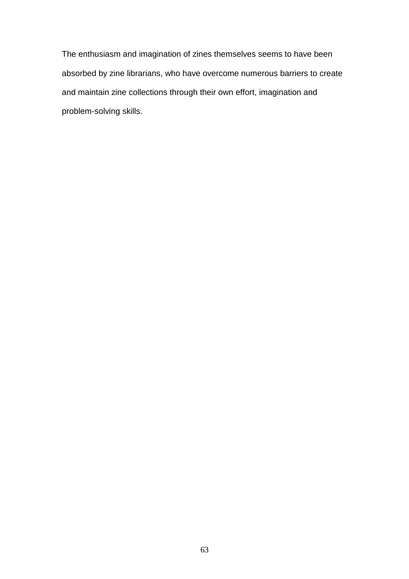The enthusiasm and imagination of zines themselves seems to have been absorbed by zine librarians, who have overcome numerous barriers to create and maintain zine collections through their own effort, imagination and problem-solving skills.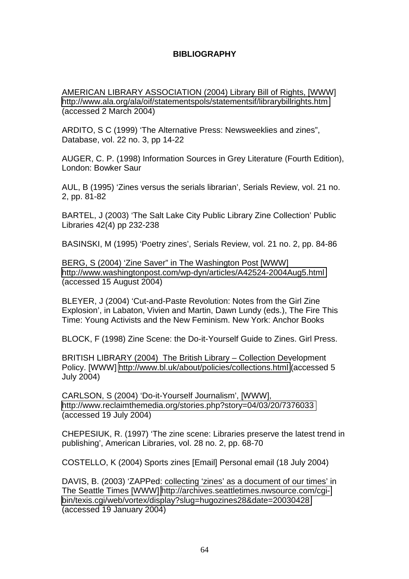# **BIBLIOGRAPHY**

<span id="page-63-0"></span>AMERICAN LIBRARY ASSOCIATION (2004) Library Bill of Rights, [WWW] <http://www.ala.org/ala/oif/statementspols/statementsif/librarybillrights.htm> (accessed 2 March 2004)

ARDITO, S C (1999) 'The Alternative Press: Newsweeklies and zines", Database, vol. 22 no. 3, pp 14-22

AUGER, C. P. (1998) Information Sources in Grey Literature (Fourth Edition), London: Bowker Saur

AUL, B (1995) 'Zines versus the serials librarian', Serials Review, vol. 21 no. 2, pp. 81-82

BARTEL, J (2003) 'The Salt Lake City Public Library Zine Collection' Public Libraries 42(4) pp 232-238

BASINSKI, M (1995) 'Poetry zines', Serials Review, vol. 21 no. 2, pp. 84-86

BERG, S (2004) 'Zine Saver" in The Washington Post [WWW] <http://www.washingtonpost.com/wp-dyn/articles/A42524-2004Aug5.html> (accessed 15 August 2004)

BLEYER, J (2004) 'Cut-and-Paste Revolution: Notes from the Girl Zine Explosion', in Labaton, Vivien and Martin, Dawn Lundy (eds.), The Fire This Time: Young Activists and the New Feminism. New York: Anchor Books

BLOCK, F (1998) Zine Scene: the Do-it-Yourself Guide to Zines. Girl Press.

BRITISH LIBRARY (2004) The British Library – Collection Development Policy. [WWW]<http://www.bl.uk/about/policies/collections.html>(accessed 5 July 2004)

CARLSON, S (2004) 'Do-it-Yourself Journalism', [WWW], <http://www.reclaimthemedia.org/stories.php?story=04/03/20/7376033> (accessed 19 July 2004)

CHEPESIUK, R. (1997) 'The zine scene: Libraries preserve the latest trend in publishing', American Libraries, vol. 28 no. 2, pp. 68-70

COSTELLO, K (2004) Sports zines [Email] Personal email (18 July 2004)

DAVIS, B. (2003) 'ZAPPed: collecting 'zines' as a document of our times' in The Seattle Times [WWW] [http://archives.seattletimes.nwsource.com/cgi](http://archives.seattletimes.nwsource.com/cgi-bin/texis.cgi/web/vortex/display?slug=hugozines28&date=20030428)[bin/texis.cgi/web/vortex/display?slug=hugozines28&date=20030428](http://archives.seattletimes.nwsource.com/cgi-bin/texis.cgi/web/vortex/display?slug=hugozines28&date=20030428)  (accessed 19 January 2004)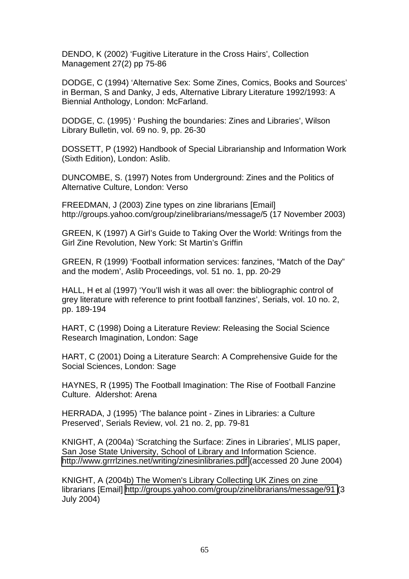DENDO, K (2002) 'Fugitive Literature in the Cross Hairs', Collection Management 27(2) pp 75-86

DODGE, C (1994) 'Alternative Sex: Some Zines, Comics, Books and Sources' in Berman, S and Danky, J eds, Alternative Library Literature 1992/1993: A Biennial Anthology, London: McFarland.

DODGE, C. (1995) ' Pushing the boundaries: Zines and Libraries', Wilson Library Bulletin, vol. 69 no. 9, pp. 26-30

DOSSETT, P (1992) Handbook of Special Librarianship and Information Work (Sixth Edition), London: Aslib.

DUNCOMBE, S. (1997) Notes from Underground: Zines and the Politics of Alternative Culture, London: Verso

FREEDMAN, J (2003) Zine types on zine librarians [Email] http://groups.yahoo.com/group/zinelibrarians/message/5 (17 November 2003)

GREEN, K (1997) A Girl's Guide to Taking Over the World: Writings from the Girl Zine Revolution, New York: St Martin's Griffin

GREEN, R (1999) 'Football information services: fanzines, "Match of the Day" and the modem', Aslib Proceedings, vol. 51 no. 1, pp. 20-29

HALL, H et al (1997) 'You'll wish it was all over: the bibliographic control of grey literature with reference to print football fanzines', Serials, vol. 10 no. 2, pp. 189-194

HART, C (1998) Doing a Literature Review: Releasing the Social Science Research Imagination, London: Sage

HART, C (2001) Doing a Literature Search: A Comprehensive Guide for the Social Sciences, London: Sage

HAYNES, R (1995) The Football Imagination: The Rise of Football Fanzine Culture. Aldershot: Arena

HERRADA, J (1995) 'The balance point - Zines in Libraries: a Culture Preserved', Serials Review, vol. 21 no. 2, pp. 79-81

KNIGHT, A (2004a) 'Scratching the Surface: Zines in Libraries', MLIS paper, San Jose State University, School of Library and Information Science. <http://www.grrrlzines.net/writing/zinesinlibraries.pdf>(accessed 20 June 2004)

KNIGHT, A (2004b) The Women's Library Collecting UK Zines on zine librarians [Email] [http://groups.yahoo.com/group/zinelibrarians/message/91 \(](http://groups.yahoo.com/group/zinelibrarians/message/91)3 July 2004)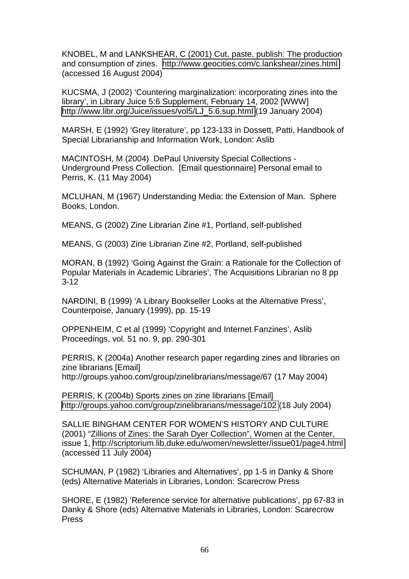KNOBEL, M and LANKSHEAR, C (2001) Cut, paste, publish: The production and consumption of zines. <http://www.geocities.com/c.lankshear/zines.html> (accessed 16 August 2004)

KUCSMA, J (2002) 'Countering marginalization: incorporating zines into the library', in Library Juice 5:6 Supplement, February 14, 2002 [WWW] [http://www.libr.org/Juice/issues/vol5/LJ\\_5.6.sup.html](http://www.libr.org/Juice/issues/vol5/LJ_5.6.sup.html) (19 January 2004)

MARSH, E (1992) 'Grey literature', pp 123-133 in Dossett, Patti, Handbook of Special Librarianship and Information Work, London: Aslib

MACINTOSH, M (2004) DePaul University Special Collections - Underground Press Collection. [Email questionnaire] Personal email to Perris, K. (11 May 2004)

MCLUHAN, M (1967) Understanding Media: the Extension of Man. Sphere Books, London.

MEANS, G (2002) Zine Librarian Zine #1, Portland, self-published

MEANS, G (2003) Zine Librarian Zine #2, Portland, self-published

MORAN, B (1992) 'Going Against the Grain: a Rationale for the Collection of Popular Materials in Academic Libraries', The Acquisitions Librarian no 8 pp 3-12

NARDINI, B (1999) 'A Library Bookseller Looks at the Alternative Press', Counterpoise, January (1999), pp. 15-19

OPPENHEIM, C et al (1999) 'Copyright and Internet Fanzines', Aslib Proceedings, vol. 51 no. 9, pp. 290-301

PERRIS, K (2004a) Another research paper regarding zines and libraries on zine librarians [Email] http://groups.yahoo.com/group/zinelibrarians/message/67 (17 May 2004)

PERRIS, K (2004b) Sports zines on zine librarians [Email] <http://groups.yahoo.com/group/zinelibrarians/message/102>(18 July 2004)

SALLIE BINGHAM CENTER FOR WOMEN'S HISTORY AND CULTURE (2001) "Zillions of Zines: the Sarah Dyer Collection", Women at the Center, issue 1, <http://scriptorium.lib.duke.edu/women/newsletter/issue01/page4.html> (accessed 11 July 2004)

SCHUMAN, P (1982) 'Libraries and Alternatives', pp 1-5 in Danky & Shore (eds) Alternative Materials in Libraries, London: Scarecrow Press

SHORE, E (1982) 'Reference service for alternative publications', pp 67-83 in Danky & Shore (eds) Alternative Materials in Libraries, London: Scarecrow Press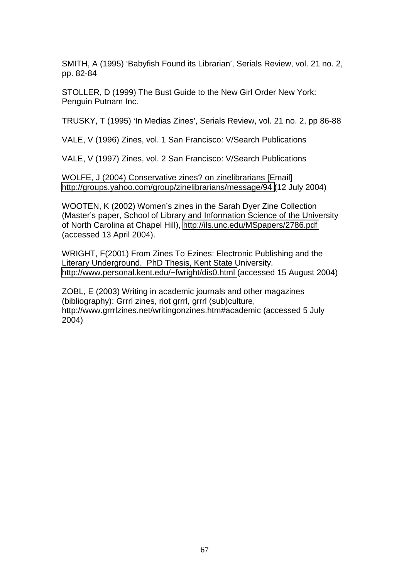SMITH, A (1995) 'Babyfish Found its Librarian', Serials Review, vol. 21 no. 2, pp. 82-84

STOLLER, D (1999) The Bust Guide to the New Girl Order New York: Penguin Putnam Inc.

TRUSKY, T (1995) 'In Medias Zines', Serials Review, vol. 21 no. 2, pp 86-88

VALE, V (1996) Zines, vol. 1 San Francisco: V/Search Publications

VALE, V (1997) Zines, vol. 2 San Francisco: V/Search Publications

WOLFE, J (2004) Conservative zines? on zinelibrarians [Email] <http://groups.yahoo.com/group/zinelibrarians/message/94>(12 July 2004)

WOOTEN, K (2002) Women's zines in the Sarah Dyer Zine Collection (Master's paper, School of Library and Information Science of the University of North Carolina at Chapel Hill),<http://ils.unc.edu/MSpapers/2786.pdf> (accessed 13 April 2004).

WRIGHT, F(2001) From Zines To Ezines: Electronic Publishing and the Literary Underground. PhD Thesis, Kent State University. <http://www.personal.kent.edu/~fwright/dis0.html>(accessed 15 August 2004)

ZOBL, E (2003) Writing in academic journals and other magazines (bibliography): Grrrl zines, riot grrrl, grrrl (sub)culture, http://www.grrrlzines.net/writingonzines.htm#academic (accessed 5 July 2004)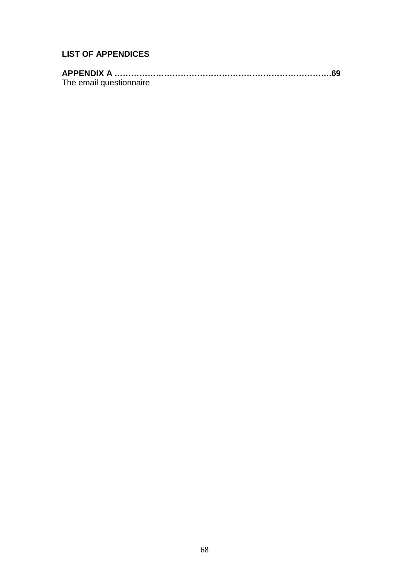# **LIST OF APPENDICES**

| The email questionnaire |  |
|-------------------------|--|